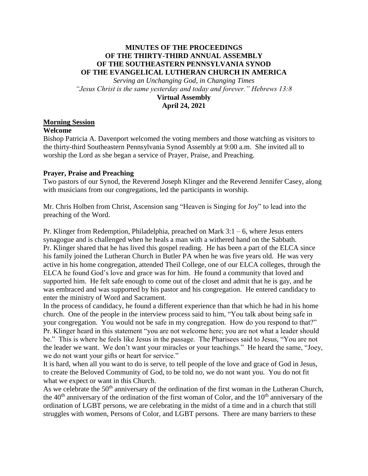# **MINUTES OF THE PROCEEDINGS OF THE THIRTY-THIRD ANNUAL ASSEMBLY OF THE SOUTHEASTERN PENNSYLVANIA SYNOD OF THE EVANGELICAL LUTHERAN CHURCH IN AMERICA**

*Serving an Unchanging God, in Changing Times "Jesus Christ is the same yesterday and today and forever." Hebrews 13:8* **Virtual Assembly April 24, 2021**

# **Morning Session**

#### **Welcome**

Bishop Patricia A. Davenport welcomed the voting members and those watching as visitors to the thirty-third Southeastern Pennsylvania Synod Assembly at 9:00 a.m. She invited all to worship the Lord as she began a service of Prayer, Praise, and Preaching.

#### **Prayer, Praise and Preaching**

Two pastors of our Synod, the Reverend Joseph Klinger and the Reverend Jennifer Casey, along with musicians from our congregations, led the participants in worship.

Mr. Chris Holben from Christ, Ascension sang "Heaven is Singing for Joy" to lead into the preaching of the Word.

Pr. Klinger from Redemption, Philadelphia, preached on Mark  $3:1-6$ , where Jesus enters synagogue and is challenged when he heals a man with a withered hand on the Sabbath. Pr. Klinger shared that he has lived this gospel reading. He has been a part of the ELCA since his family joined the Lutheran Church in Butler PA when he was five years old. He was very active in his home congregation, attended Theil College, one of our ELCA colleges, through the ELCA he found God's love and grace was for him. He found a community that loved and supported him. He felt safe enough to come out of the closet and admit that he is gay, and he was embraced and was supported by his pastor and his congregation. He entered candidacy to enter the ministry of Word and Sacrament.

In the process of candidacy, he found a different experience than that which he had in his home church. One of the people in the interview process said to him, "You talk about being safe in your congregation. You would not be safe in my congregation. How do you respond to that?" Pr. Klinger heard in this statement "you are not welcome here; you are not what a leader should be." This is where he feels like Jesus in the passage. The Pharisees said to Jesus, "You are not the leader we want. We don't want your miracles or your teachings." He heard the same, "Joey, we do not want your gifts or heart for service."

It is hard, when all you want to do is serve, to tell people of the love and grace of God in Jesus, to create the Beloved Community of God, to be told no, we do not want you. You do not fit what we expect or want in this Church.

As we celebrate the 50<sup>th</sup> anniversary of the ordination of the first woman in the Lutheran Church, the 40<sup>th</sup> anniversary of the ordination of the first woman of Color, and the 10<sup>th</sup> anniversary of the ordination of LGBT persons, we are celebrating in the midst of a time and in a church that still struggles with women, Persons of Color, and LGBT persons. There are many barriers to these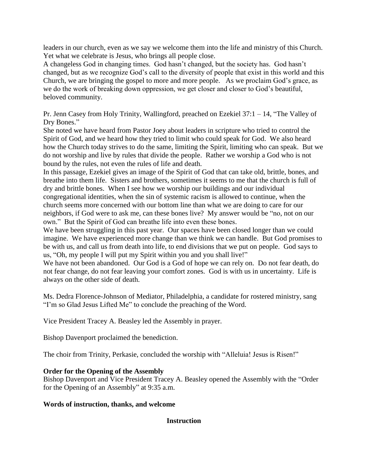leaders in our church, even as we say we welcome them into the life and ministry of this Church. Yet what we celebrate is Jesus, who brings all people close.

A changeless God in changing times. God hasn't changed, but the society has. God hasn't changed, but as we recognize God's call to the diversity of people that exist in this world and this Church, we are bringing the gospel to more and more people. As we proclaim God's grace, as we do the work of breaking down oppression, we get closer and closer to God's beautiful, beloved community.

Pr. Jenn Casey from Holy Trinity, Wallingford, preached on Ezekiel 37:1 – 14, "The Valley of Dry Bones."

She noted we have heard from Pastor Joey about leaders in scripture who tried to control the Spirit of God, and we heard how they tried to limit who could speak for God. We also heard how the Church today strives to do the same, limiting the Spirit, limiting who can speak. But we do not worship and live by rules that divide the people. Rather we worship a God who is not bound by the rules, not even the rules of life and death.

In this passage, Ezekiel gives an image of the Spirit of God that can take old, brittle, bones, and breathe into them life. Sisters and brothers, sometimes it seems to me that the church is full of dry and brittle bones. When I see how we worship our buildings and our individual congregational identities, when the sin of systemic racism is allowed to continue, when the church seems more concerned with our bottom line than what we are doing to care for our neighbors, if God were to ask me, can these bones live? My answer would be "no, not on our own." But the Spirit of God can breathe life into even these bones.

We have been struggling in this past year. Our spaces have been closed longer than we could imagine. We have experienced more change than we think we can handle. But God promises to be with us, and call us from death into life, to end divisions that we put on people. God says to us, "Oh, my people I will put my Spirit within you and you shall live!"

We have not been abandoned. Our God is a God of hope we can rely on. Do not fear death, do not fear change, do not fear leaving your comfort zones. God is with us in uncertainty. Life is always on the other side of death.

Ms. Dedra Florence-Johnson of Mediator, Philadelphia, a candidate for rostered ministry, sang "I'm so Glad Jesus Lifted Me" to conclude the preaching of the Word.

Vice President Tracey A. Beasley led the Assembly in prayer.

Bishop Davenport proclaimed the benediction.

The choir from Trinity, Perkasie, concluded the worship with "Alleluia! Jesus is Risen!"

# **Order for the Opening of the Assembly**

Bishop Davenport and Vice President Tracey A. Beasley opened the Assembly with the "Order for the Opening of an Assembly" at 9:35 a.m.

#### **Words of instruction, thanks, and welcome**

**Instruction**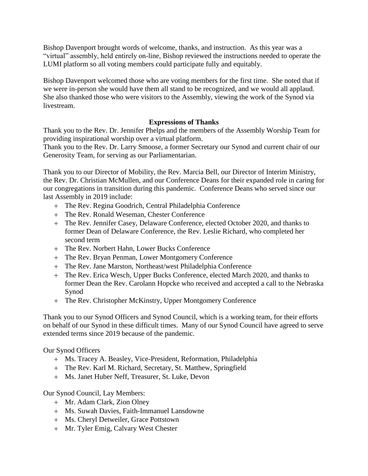Bishop Davenport brought words of welcome, thanks, and instruction. As this year was a "virtual" assembly, held entirely on-line, Bishop reviewed the instructions needed to operate the LUMI platform so all voting members could participate fully and equitably.

Bishop Davenport welcomed those who are voting members for the first time. She noted that if we were in-person she would have them all stand to be recognized, and we would all applaud. She also thanked those who were visitors to the Assembly, viewing the work of the Synod via livestream.

# **Expressions of Thanks**

Thank you to the Rev. Dr. Jennifer Phelps and the members of the Assembly Worship Team for providing inspirational worship over a virtual platform.

Thank you to the Rev. Dr. Larry Smoose, a former Secretary our Synod and current chair of our Generosity Team, for serving as our Parliamentarian.

Thank you to our Director of Mobility, the Rev. Marcia Bell, our Director of Interim Ministry, the Rev. Dr. Christian McMullen, and our Conference Deans for their expanded role in caring for our congregations in transition during this pandemic. Conference Deans who served since our last Assembly in 2019 include:

- The Rev. Regina Goodrich, Central Philadelphia Conference
- The Rev. Ronald Weseman, Chester Conference
- The Rev. Jennifer Casey, Delaware Conference, elected October 2020, and thanks to former Dean of Delaware Conference, the Rev. Leslie Richard, who completed her second term
- The Rev. Norbert Hahn, Lower Bucks Conference
- The Rev. Bryan Penman, Lower Montgomery Conference
- The Rev. Jane Marston, Northeast/west Philadelphia Conference
- The Rev. Erica Wesch, Upper Bucks Conference, elected March 2020, and thanks to former Dean the Rev. Carolann Hopcke who received and accepted a call to the Nebraska Synod
- The Rev. Christopher McKinstry, Upper Montgomery Conference

Thank you to our Synod Officers and Synod Council, which is a working team, for their efforts on behalf of our Synod in these difficult times. Many of our Synod Council have agreed to serve extended terms since 2019 because of the pandemic.

# Our Synod Officers

- Ms. Tracey A. Beasley, Vice-President, Reformation, Philadelphia
- The Rev. Karl M. Richard, Secretary, St. Matthew, Springfield
- Ms. Janet Huber Neff, Treasurer, St. Luke, Devon

# Our Synod Council, Lay Members:

- Mr. Adam Clark, Zion Olney
- Ms. Suwah Davies, Faith-Immanuel Lansdowne
- Ms. Cheryl Detweiler, Grace Pottstown
- Mr. Tyler Emig, Calvary West Chester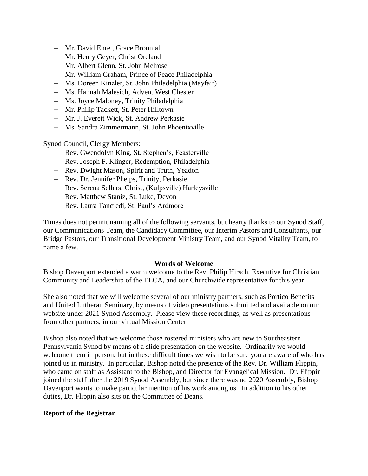- Mr. David Ehret, Grace Broomall
- Mr. Henry Geyer, Christ Oreland
- Mr. Albert Glenn, St. John Melrose
- Mr. William Graham, Prince of Peace Philadelphia
- Ms. Doreen Kinzler, St. John Philadelphia (Mayfair)
- Ms. Hannah Malesich, Advent West Chester
- Ms. Joyce Maloney, Trinity Philadelphia
- Mr. Philip Tackett, St. Peter Hilltown
- Mr. J. Everett Wick, St. Andrew Perkasie
- Ms. Sandra Zimmermann, St. John Phoenixville

Synod Council, Clergy Members:

- + Rev. Gwendolyn King, St. Stephen's, Feasterville
- Rev. Joseph F. Klinger, Redemption, Philadelphia
- Rev. Dwight Mason, Spirit and Truth, Yeadon
- Rev. Dr. Jennifer Phelps, Trinity, Perkasie
- Rev. Serena Sellers, Christ, (Kulpsville) Harleysville
- Rev. Matthew Staniz, St. Luke, Devon
- Rev. Laura Tancredi, St. Paul's Ardmore

Times does not permit naming all of the following servants, but hearty thanks to our Synod Staff, our Communications Team, the Candidacy Committee, our Interim Pastors and Consultants, our Bridge Pastors, our Transitional Development Ministry Team, and our Synod Vitality Team, to name a few.

#### **Words of Welcome**

Bishop Davenport extended a warm welcome to the Rev. Philip Hirsch, Executive for Christian Community and Leadership of the ELCA, and our Churchwide representative for this year.

She also noted that we will welcome several of our ministry partners, such as Portico Benefits and United Lutheran Seminary, by means of video presentations submitted and available on our website under 2021 Synod Assembly. Please view these recordings, as well as presentations from other partners, in our virtual Mission Center.

Bishop also noted that we welcome those rostered ministers who are new to Southeastern Pennsylvania Synod by means of a slide presentation on the website. Ordinarily we would welcome them in person, but in these difficult times we wish to be sure you are aware of who has joined us in ministry. In particular, Bishop noted the presence of the Rev. Dr. William Flippin, who came on staff as Assistant to the Bishop, and Director for Evangelical Mission. Dr. Flippin joined the staff after the 2019 Synod Assembly, but since there was no 2020 Assembly, Bishop Davenport wants to make particular mention of his work among us. In addition to his other duties, Dr. Flippin also sits on the Committee of Deans.

#### **Report of the Registrar**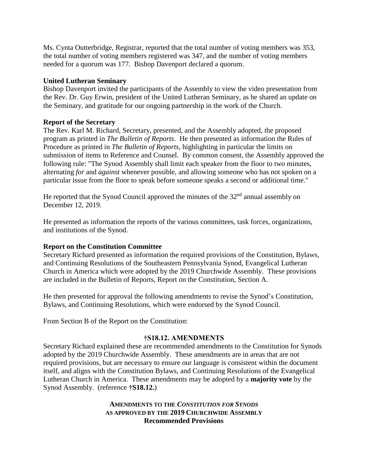Ms. Cynta Outterbridge, Registrar, reported that the total number of voting members was 353, the total number of voting members registered was 347, and the number of voting members needed for a quorum was 177. Bishop Davenport declared a quorum.

### **United Lutheran Seminary**

Bishop Davenport invited the participants of the Assembly to view the video presentation from the Rev. Dr. Guy Erwin, president of the United Lutheran Seminary, as he shared an update on the Seminary, and gratitude for our ongoing partnership in the work of the Church.

# **Report of the Secretary**

The Rev. Karl M. Richard, Secretary, presented, and the Assembly adopted, the proposed program as printed in *The Bulletin of Reports*. He then presented as information the Rules of Procedure as printed in *The Bulletin of Reports*, highlighting in particular the limits on submission of items to Reference and Counsel. By common consent, the Assembly approved the following rule: "The Synod Assembly shall limit each speaker from the floor to two minutes, alternating *for* and *against* whenever possible, and allowing someone who has not spoken on a particular issue from the floor to speak before someone speaks a second or additional time."

He reported that the Synod Council approved the minutes of the  $32<sup>nd</sup>$  annual assembly on December 12, 2019.

He presented as information the reports of the various committees, task forces, organizations, and institutions of the Synod.

#### **Report on the Constitution Committee**

Secretary Richard presented as information the required provisions of the Constitution, Bylaws, and Continuing Resolutions of the Southeastern Pennsylvania Synod, Evangelical Lutheran Church in America which were adopted by the 2019 Churchwide Assembly. These provisions are included in the Bulletin of Reports, Report on the Constitution, Section A.

He then presented for approval the following amendments to revise the Synod's Constitution, Bylaws, and Continuing Resolutions, which were endorsed by the Synod Council.

From Section B of the Report on the Constitution:

# **†S18.12. AMENDMENTS**

Secretary Richard explained these are recommended amendments to the Constitution for Synods adopted by the 2019 Churchwide Assembly. These amendments are in areas that are not required provisions, but are necessary to ensure our language is consistent within the document itself, and aligns with the Constitution Bylaws, and Continuing Resolutions of the Evangelical Lutheran Church in America. These amendments may be adopted by a **majority vote** by the Synod Assembly. (reference **†S18.12.**)

> **AMENDMENTS TO THE** *CONSTITUTION FOR SYNODS* **AS APPROVED BY THE 2019 CHURCHWIDE ASSEMBLY Recommended Provisions**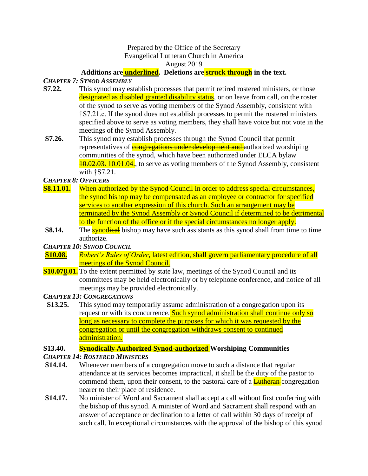#### Prepared by the Office of the Secretary Evangelical Lutheran Church in America

August 2019

# **Additions are underlined. Deletions are struck through in the text.**

# *CHAPTER 7: SYNOD ASSEMBLY*

- **S7.22.** This synod may establish processes that permit retired rostered ministers, or those designated as disabled granted disability status, or on leave from call, on the roster of the synod to serve as voting members of the Synod Assembly, consistent with †S7.21.c. If the synod does not establish processes to permit the rostered ministers specified above to serve as voting members, they shall have voice but not vote in the meetings of the Synod Assembly.
- **S7.26.** This synod may establish processes through the Synod Council that permit representatives of **congregations under development and** authorized worshiping communities of the synod, which have been authorized under ELCA bylaw **10.02.03.** 10.01.04., to serve as voting members of the Synod Assembly, consistent with †S7.21.

*CHAPTER 8: OFFICERS*

- **S8.11.01.** When authorized by the Synod Council in order to address special circumstances, the synod bishop may be compensated as an employee or contractor for specified services to another expression of this church. Such an arrangement may be terminated by the Synod Assembly or Synod Council if determined to be detrimental to the function of the office or if the special circumstances no longer apply.
- **S8.14.** The **synodical** bishop may have such assistants as this synod shall from time to time authorize.

*CHAPTER 10: SYNOD COUNCIL*

- **S10.08.** *Robert's Rules of Order*, latest edition, shall govern parliamentary procedure of all meetings of the Synod Council.
- **S10.078.01.** To the extent permitted by state law, meetings of the Synod Council and its committees may be held electronically or by telephone conference, and notice of all meetings may be provided electronically.

### *CHAPTER 13: CONGREGATIONS*

 **S13.25.** This synod may temporarily assume administration of a congregation upon its request or with its concurrence. Such synod administration shall continue only so long as necessary to complete the purposes for which it was requested by the congregation or until the congregation withdraws consent to continued administration.

# **S13.40. Synodically Authorized Synod-authorized Worshiping Communities**

# *CHAPTER 14: ROSTERED MINISTERS*

- **S14.14.** Whenever members of a congregation move to such a distance that regular attendance at its services becomes impractical, it shall be the duty of the pastor to commend them, upon their consent, to the pastoral care of a **Lutheran** congregation nearer to their place of residence.
- **S14.17.** No minister of Word and Sacrament shall accept a call without first conferring with the bishop of this synod. A minister of Word and Sacrament shall respond with an answer of acceptance or declination to a letter of call within 30 days of receipt of such call. In exceptional circumstances with the approval of the bishop of this synod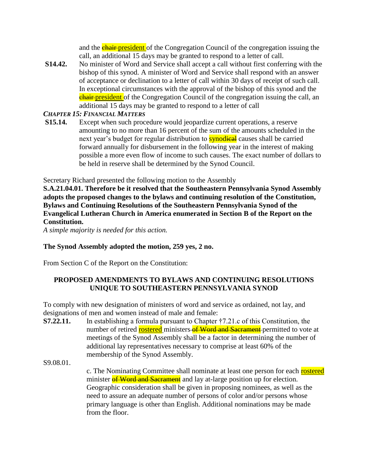and the **chair-president** of the Congregation Council of the congregation issuing the call, an additional 15 days may be granted to respond to a letter of call.

**S14.42.** No minister of Word and Service shall accept a call without first conferring with the bishop of this synod. A minister of Word and Service shall respond with an answer of acceptance or declination to a letter of call within 30 days of receipt of such call. In exceptional circumstances with the approval of the bishop of this synod and the **chair-president** of the Congregation Council of the congregation issuing the call, an additional 15 days may be granted to respond to a letter of call

# *CHAPTER 15: FINANCIAL MATTERS*

**S15.14.** Except when such procedure would jeopardize current operations, a reserve amounting to no more than 16 percent of the sum of the amounts scheduled in the next year's budget for regular distribution to **synodieal** causes shall be carried forward annually for disbursement in the following year in the interest of making possible a more even flow of income to such causes. The exact number of dollars to be held in reserve shall be determined by the Synod Council.

Secretary Richard presented the following motion to the Assembly

**S.A.21.04.01. Therefore be it resolved that the Southeastern Pennsylvania Synod Assembly adopts the proposed changes to the bylaws and continuing resolution of the Constitution, Bylaws and Continuing Resolutions of the Southeastern Pennsylvania Synod of the Evangelical Lutheran Church in America enumerated in Section B of the Report on the Constitution.**

*A simple majority is needed for this action.*

# **The Synod Assembly adopted the motion, 259 yes, 2 no.**

From Section C of the Report on the Constitution:

# **PROPOSED AMENDMENTS TO BYLAWS AND CONTINUING RESOLUTIONS UNIQUE TO SOUTHEASTERN PENNSYLVANIA SYNOD**

To comply with new designation of ministers of word and service as ordained, not lay, and designations of men and women instead of male and female:

**S7.22.11.** In establishing a formula pursuant to Chapter  $\ddagger$ 7.21.c of this Constitution, the number of retired rostered ministers of Word and Sacrament permitted to vote at meetings of the Synod Assembly shall be a factor in determining the number of additional lay representatives necessary to comprise at least 60% of the membership of the Synod Assembly.

S9.08.01.

c. The Nominating Committee shall nominate at least one person for each rostered minister of Word and Sacrament and lay at-large position up for election. Geographic consideration shall be given in proposing nominees, as well as the need to assure an adequate number of persons of color and/or persons whose primary language is other than English. Additional nominations may be made from the floor.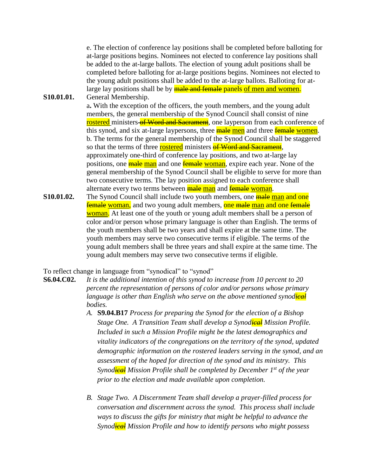e. The election of conference lay positions shall be completed before balloting for at-large positions begins. Nominees not elected to conference lay positions shall be added to the at-large ballots. The election of young adult positions shall be completed before balloting for at-large positions begins. Nominees not elected to the young adult positions shall be added to the at-large ballots. Balloting for atlarge lay positions shall be by **male and female** panels of men and women.

**S10.01.01.** General Membership.

a**.** With the exception of the officers, the youth members, and the young adult members, the general membership of the Synod Council shall consist of nine rostered ministers of Word and Sacrament, one layperson from each conference of this synod, and six at-large laypersons, three **male men** and three **female women**. b. The terms for the general membership of the Synod Council shall be staggered so that the terms of three **rostered** ministers **of Word and Sacrament**, approximately one-third of conference lay positions, and two at-large lay positions, one **male man** and one **female** woman, expire each year. None of the general membership of the Synod Council shall be eligible to serve for more than two consecutive terms. The lay position assigned to each conference shall alternate every two terms between **male man** and **female woman**.

**S10.01.02.** The Synod Council shall include two youth members, one **male man and one female woman,** and two young adult members, one male man and one female woman. At least one of the youth or young adult members shall be a person of color and/or person whose primary language is other than English. The terms of the youth members shall be two years and shall expire at the same time. The youth members may serve two consecutive terms if eligible. The terms of the young adult members shall be three years and shall expire at the same time. The young adult members may serve two consecutive terms if eligible.

To reflect change in language from "synodical" to "synod"

**S6.04.C02.** *It is the additional intention of this synod to increase from 10 percent to 20 percent the representation of persons of color and/or persons whose primary language is other than English who serve on the above mentioned synodical bodies.*

- *A.* **S9.04.B17** *Process for preparing the Synod for the election of a Bishop Stage One. A Transition Team shall develop a Synodical Mission Profile. Included in such a Mission Profile might be the latest demographics and vitality indicators of the congregations on the territory of the synod, updated demographic information on the rostered leaders serving in the synod, and an assessment of the hoped for direction of the synod and its ministry. This Synodical Mission Profile shall be completed by December 1st of the year prior to the election and made available upon completion.*
- *B. Stage Two. A Discernment Team shall develop a prayer-filled process for conversation and discernment across the synod. This process shall include ways to discuss the gifts for ministry that might be helpful to advance the Synodical Mission Profile and how to identify persons who might possess*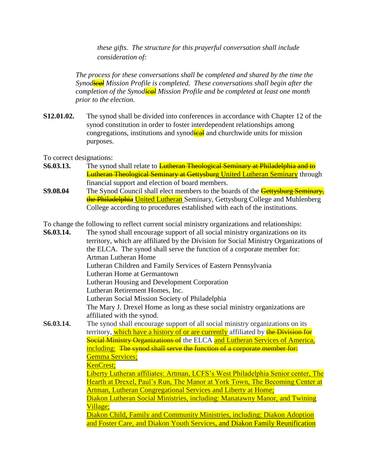*these gifts. The structure for this prayerful conversation shall include consideration of:* 

*The process for these conversations shall be completed and shared by the time the Synodical Mission Profile is completed. These conversations shall begin after the completion of the Synodical Mission Profile and be completed at least one month prior to the election.*

**S12.01.02.** The synod shall be divided into conferences in accordance with Chapter 12 of the synod constitution in order to foster interdependent relationships among congregations, institutions and synodical and churchwide units for mission purposes.

To correct designations:

- **S6.03.13.** The synod shall relate to Lutheran Theological Seminary at Philadelphia and to **Lutheran Theological Seminary at Gettysburg United Lutheran Seminary** through financial support and election of board members.
- **S9.08.04** The Synod Council shall elect members to the boards of the **Gettysburg Seminary**, the Philadelphia United Lutheran Seminary, Gettysburg College and Muhlenberg College according to procedures established with each of the institutions.

To change the following to reflect current social ministry organizations and relationships:

**S6.03.14.** The synod shall encourage support of all social ministry organizations on its territory, which are affiliated by the Division for Social Ministry Organizations of the ELCA. The synod shall serve the function of a corporate member for: Artman Lutheran Home Lutheran Children and Family Services of Eastern Pennsylvania Lutheran Home at Germantown Lutheran Housing and Development Corporation Lutheran Retirement Homes, Inc. Lutheran Social Mission Society of Philadelphia The Mary J. Drexel Home as long as these social ministry organizations are affiliated with the synod. **S6.03.14.** The synod shall encourage support of all social ministry organizations on its territory, which have a history of or are currently affiliated by the Division for Social Ministry Organizations of the ELCA and Lutheran Services of America, including: The synod shall serve the function of a corporate member for: Gemma Services; KenCrest; Liberty Lutheran affiliates: Artman, LCFS's West Philadelphia Senior center, The Hearth at Drexel, Paul's Run, The Manor at York Town, The Becoming Center at Artman, Lutheran Congregational Services and Liberty at Home; Diakon Lutheran Social Ministries, including: Manatawny Manor, and Twining Village; Diakon Child, Family and Community Ministries, including: Diakon Adoption and Foster Care, and Diakon Youth Services, and Diakon Family Reunification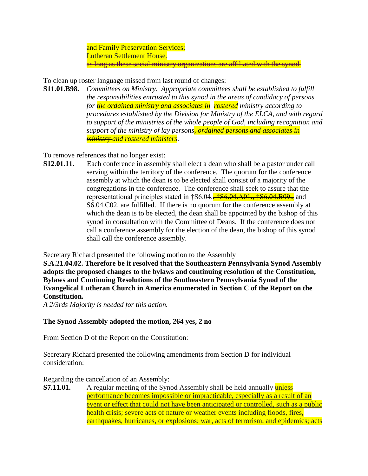and Family Preservation Services; Lutheran Settlement House. as long as these social ministry organizations are affiliated with the synod.

To clean up roster language missed from last round of changes:

**S11.01.B98.** *Committees on Ministry. Appropriate committees shall be established to fulfill the responsibilities entrusted to this synod in the areas of candidacy of persons for the ordained ministry and associates in rostered ministry according to procedures established by the Division for Ministry of the ELCA, and with regard to support of the ministries of the whole people of God, including recognition and support of the ministry of lay persons, ordained persons and associates in ministr*y *and rostered ministers*.

To remove references that no longer exist:

**S12.01.11.** Each conference in assembly shall elect a dean who shall be a pastor under call serving within the territory of the conference. The quorum for the conference assembly at which the dean is to be elected shall consist of a majority of the congregations in the conference. The conference shall seek to assure that the representational principles stated in  $\frac{1}{5}$ S6.04.,  $\frac{1}{5}$ S6.04.  $\frac{1}{5}$ A01.,  $\frac{1}{5}$ S6.04. B09. S6.04.C02. are fulfilled. If there is no quorum for the conference assembly at which the dean is to be elected, the dean shall be appointed by the bishop of this synod in consultation with the Committee of Deans. If the conference does not call a conference assembly for the election of the dean, the bishop of this synod shall call the conference assembly.

Secretary Richard presented the following motion to the Assembly

**S.A.21.04.02. Therefore be it resolved that the Southeastern Pennsylvania Synod Assembly adopts the proposed changes to the bylaws and continuing resolution of the Constitution, Bylaws and Continuing Resolutions of the Southeastern Pennsylvania Synod of the Evangelical Lutheran Church in America enumerated in Section C of the Report on the Constitution.**

*A 2/3rds Majority is needed for this action.*

# **The Synod Assembly adopted the motion, 264 yes, 2 no**

From Section D of the Report on the Constitution:

Secretary Richard presented the following amendments from Section D for individual consideration:

#### Regarding the cancellation of an Assembly:

**S7.11.01.** A regular meeting of the Synod Assembly shall be held annually unless performance becomes impossible or impracticable, especially as a result of an event or effect that could not have been anticipated or controlled, such as a public health crisis; severe acts of nature or weather events including floods, fires, earthquakes, hurricanes, or explosions; war, acts of terrorism, and epidemics; acts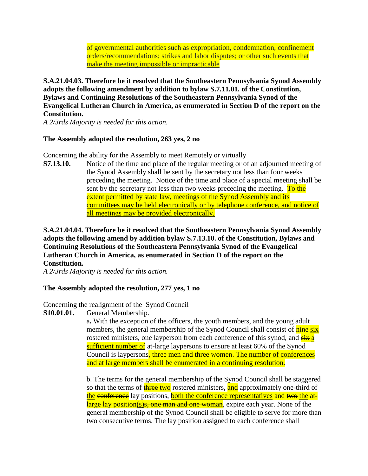of governmental authorities such as expropriation, condemnation, confinement orders/recommendations; strikes and labor disputes; or other such events that make the meeting impossible or impracticable

**S.A.21.04.03. Therefore be it resolved that the Southeastern Pennsylvania Synod Assembly adopts the following amendment by addition to bylaw S.7.11.01. of the Constitution, Bylaws and Continuing Resolutions of the Southeastern Pennsylvania Synod of the Evangelical Lutheran Church in America, as enumerated in Section D of the report on the Constitution.**

*A 2/3rds Majority is needed for this action.*

# **The Assembly adopted the resolution, 263 yes, 2 no**

Concerning the ability for the Assembly to meet Remotely or virtually

**S7.13.10.** Notice of the time and place of the regular meeting or of an adjourned meeting of the Synod Assembly shall be sent by the secretary not less than four weeks preceding the meeting. Notice of the time and place of a special meeting shall be sent by the secretary not less than two weeks preceding the meeting. To the extent permitted by state law, meetings of the Synod Assembly and its committees may be held electronically or by telephone conference, and notice of all meetings may be provided electronically.

# **S.A.21.04.04. Therefore be it resolved that the Southeastern Pennsylvania Synod Assembly adopts the following amend by addition bylaw S.7.13.10. of the Constitution, Bylaws and Continuing Resolutions of the Southeastern Pennsylvania Synod of the Evangelical Lutheran Church in America, as enumerated in Section D of the report on the Constitution.**

*A 2/3rds Majority is needed for this action.*

# **The Assembly adopted the resolution, 277 yes, 1 no**

Concerning the realignment of the Synod Council

**S10.01.01.** General Membership.

a**.** With the exception of the officers, the youth members, and the young adult members, the general membership of the Synod Council shall consist of **nine six** rostered ministers, one layperson from each conference of this synod, and  $\frac{1}{s}$  and sufficient number of at-large laypersons to ensure at least 60% of the Synod Council is laypersons<del>, three men and three women</del>. The number of conferences and at large members shall be enumerated in a continuing resolution.

b. The terms for the general membership of the Synod Council shall be staggered so that the terms of **three two** rostered ministers, and approximately one-third of the conference lay positions, both the conference representatives and two the atlarge lay position(s)  $s$ , one man and one woman, expire each year. None of the general membership of the Synod Council shall be eligible to serve for more than two consecutive terms. The lay position assigned to each conference shall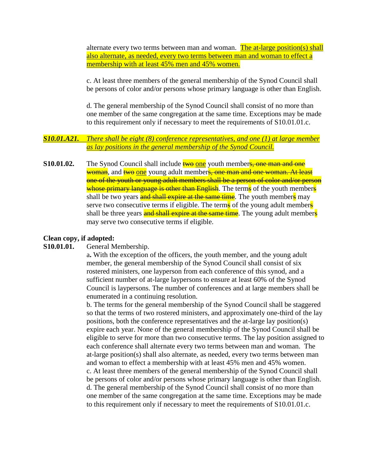alternate every two terms between man and woman. The at-large position(s) shall also alternate, as needed, every two terms between man and woman to effect a membership with at least 45% men and 45% women.

c. At least three members of the general membership of the Synod Council shall be persons of color and/or persons whose primary language is other than English.

d. The general membership of the Synod Council shall consist of no more than one member of the same congregation at the same time. Exceptions may be made to this requirement only if necessary to meet the requirements of S10.01.01.c.

# *S10.01.A21. There shall be eight (8) conference representatives, and one (1) at large member as lay positions in the general membership of the Synod Council.*

**S10.01.02.** The Synod Council shall include **two one** youth members, one man and one woman, and two one young adult members, one man and one woman. At least one of the youth or young adult members shall be a person of color and/or person whose primary language is other than English. The terms of the youth members shall be two years and shall expire at the same time. The youth members may serve two consecutive terms if eligible. The terms of the young adult members shall be three years and shall expire at the same time. The young adult members may serve two consecutive terms if eligible.

#### **Clean copy, if adopted:**

#### **S10.01.01.** General Membership.

a**.** With the exception of the officers, the youth member, and the young adult member, the general membership of the Synod Council shall consist of six rostered ministers, one layperson from each conference of this synod, and a sufficient number of at-large laypersons to ensure at least 60% of the Synod Council is laypersons. The number of conferences and at large members shall be enumerated in a continuing resolution.

b. The terms for the general membership of the Synod Council shall be staggered so that the terms of two rostered ministers, and approximately one-third of the lay positions, both the conference representatives and the at-large lay position(s) expire each year. None of the general membership of the Synod Council shall be eligible to serve for more than two consecutive terms. The lay position assigned to each conference shall alternate every two terms between man and woman. The at-large position(s) shall also alternate, as needed, every two terms between man and woman to effect a membership with at least 45% men and 45% women. c. At least three members of the general membership of the Synod Council shall be persons of color and/or persons whose primary language is other than English. d. The general membership of the Synod Council shall consist of no more than one member of the same congregation at the same time. Exceptions may be made to this requirement only if necessary to meet the requirements of S10.01.01.c.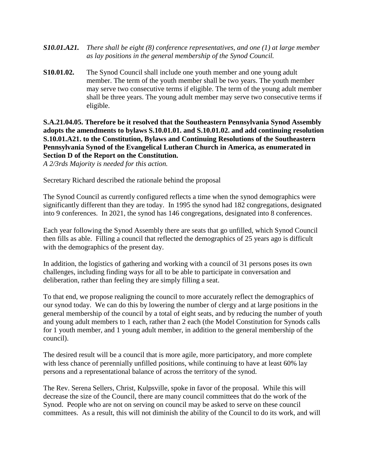- *S10.01.A21. There shall be eight (8) conference representatives, and one (1) at large member as lay positions in the general membership of the Synod Council.*
- **S10.01.02.** The Synod Council shall include one youth member and one young adult member. The term of the youth member shall be two years. The youth member may serve two consecutive terms if eligible. The term of the young adult member shall be three years. The young adult member may serve two consecutive terms if eligible.

**S.A.21.04.05. Therefore be it resolved that the Southeastern Pennsylvania Synod Assembly adopts the amendments to bylaws S.10.01.01. and S.10.01.02. and add continuing resolution S.10.01.A21. to the Constitution, Bylaws and Continuing Resolutions of the Southeastern Pennsylvania Synod of the Evangelical Lutheran Church in America, as enumerated in Section D of the Report on the Constitution.** 

*A 2/3rds Majority is needed for this action.*

Secretary Richard described the rationale behind the proposal

The Synod Council as currently configured reflects a time when the synod demographics were significantly different than they are today. In 1995 the synod had 182 congregations, designated into 9 conferences. In 2021, the synod has 146 congregations, designated into 8 conferences.

Each year following the Synod Assembly there are seats that go unfilled, which Synod Council then fills as able. Filling a council that reflected the demographics of 25 years ago is difficult with the demographics of the present day.

In addition, the logistics of gathering and working with a council of 31 persons poses its own challenges, including finding ways for all to be able to participate in conversation and deliberation, rather than feeling they are simply filling a seat.

To that end, we propose realigning the council to more accurately reflect the demographics of our synod today. We can do this by lowering the number of clergy and at large positions in the general membership of the council by a total of eight seats, and by reducing the number of youth and young adult members to 1 each, rather than 2 each (the Model Constitution for Synods calls for 1 youth member, and 1 young adult member, in addition to the general membership of the council).

The desired result will be a council that is more agile, more participatory, and more complete with less chance of perennially unfilled positions, while continuing to have at least 60% lay persons and a representational balance of across the territory of the synod.

The Rev. Serena Sellers, Christ, Kulpsville, spoke in favor of the proposal. While this will decrease the size of the Council, there are many council committees that do the work of the Synod. People who are not on serving on council may be asked to serve on these council committees. As a result, this will not diminish the ability of the Council to do its work, and will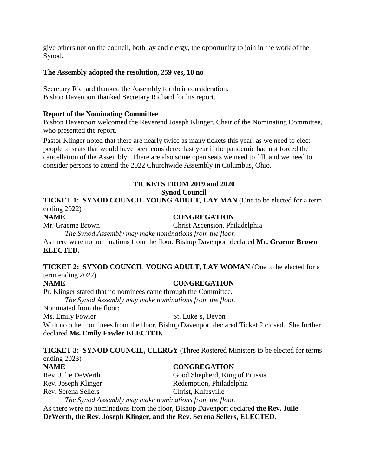give others not on the council, both lay and clergy, the opportunity to join in the work of the Synod.

### **The Assembly adopted the resolution, 259 yes, 10 no**

Secretary Richard thanked the Assembly for their consideration. Bishop Davenport thanked Secretary Richard for his report.

### **Report of the Nominating Committee**

Bishop Davenport welcomed the Reverend Joseph Klinger, Chair of the Nominating Committee, who presented the report.

Pastor Klinger noted that there are nearly twice as many tickets this year, as we need to elect people to seats that would have been considered last year if the pandemic had not forced the cancellation of the Assembly. There are also some open seats we need to fill, and we need to consider persons to attend the 2022 Churchwide Assembly in Columbus, Ohio.

# **TICKETS FROM 2019 and 2020 Synod Council**

**TICKET 1: SYNOD COUNCIL YOUNG ADULT, LAY MAN** (One to be elected for a term ending 2022)

# **NAME CONGREGATION**

Mr. Graeme Brown Christ Ascension, Philadelphia

*The Synod Assembly may make nominations from the floor.*

As there were no nominations from the floor, Bishop Davenport declared **Mr. Graeme Brown ELECTED.**

# **TICKET 2: SYNOD COUNCIL YOUNG ADULT, LAY WOMAN** (One to be elected for a term ending 2022)

#### **NAME CONGREGATION**

Pr. Klinger stated that no nominees came through the Committee.

*The Synod Assembly may make nominations from the floor.*

Nominated from the floor:

Ms. Emily Fowler St. Luke's, Devon

With no other nominees from the floor, Bishop Davenport declared Ticket 2 closed. She further declared **Ms. Emily Fowler ELECTED.**

**TICKET 3: SYNOD COUNCIL, CLERGY** (Three Rostered Ministers to be elected for terms ending 2023)

**NAME CONGREGATION** Rev. Serena Sellers Christ, Kulpsville

Rev. Julie DeWerth Good Shepherd, King of Prussia Rev. Joseph Klinger Redemption, Philadelphia

*The Synod Assembly may make nominations from the floor.* As there were no nominations from the floor, Bishop Davenport declared **the Rev. Julie DeWerth, the Rev. Joseph Klinger, and the Rev. Serena Sellers, ELECTED.**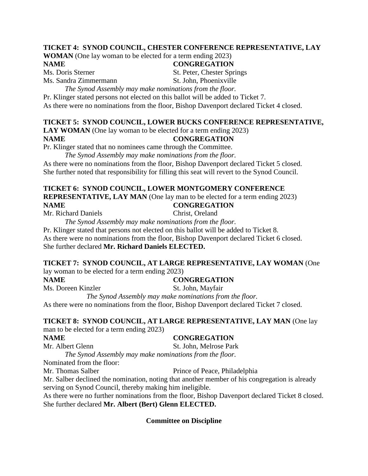# **TICKET 4: SYNOD COUNCIL, CHESTER CONFERENCE REPRESENTATIVE, LAY**

**WOMAN** (One lay woman to be elected for a term ending 2023)

# **NAME CONGREGATION**

Ms. Doris Sterner St. Peter, Chester Springs Ms. Sandra Zimmermann St. John, Phoenixville

*The Synod Assembly may make nominations from the floor.*

Pr. Klinger stated persons not elected on this ballot will be added to Ticket 7.

As there were no nominations from the floor, Bishop Davenport declared Ticket 4 closed.

# **TICKET 5: SYNOD COUNCIL, LOWER BUCKS CONFERENCE REPRESENTATIVE,**

**LAY WOMAN** (One lay woman to be elected for a term ending 2023) **NAME CONGREGATION**

Pr. Klinger stated that no nominees came through the Committee.

*The Synod Assembly may make nominations from the floor.*

As there were no nominations from the floor, Bishop Davenport declared Ticket 5 closed. She further noted that responsibility for filling this seat will revert to the Synod Council.

# **TICKET 6: SYNOD COUNCIL, LOWER MONTGOMERY CONFERENCE**

**REPRESENTATIVE, LAY MAN** (One lay man to be elected for a term ending 2023)

# **NAME CONGREGATION**

Mr. Richard Daniels Christ, Oreland *The Synod Assembly may make nominations from the floor.*

Pr. Klinger stated that persons not elected on this ballot will be added to Ticket 8. As there were no nominations from the floor, Bishop Davenport declared Ticket 6 closed.

She further declared **Mr. Richard Daniels ELECTED.**

#### **TICKET 7: SYNOD COUNCIL, AT LARGE REPRESENTATIVE, LAY WOMAN** (One lay woman to be elected for a term ending 2023)

# **NAME CONGREGATION**

Ms. Doreen Kinzler St. John, Mayfair *The Synod Assembly may make nominations from the floor.*

As there were no nominations from the floor, Bishop Davenport declared Ticket 7 closed.

# **TICKET 8: SYNOD COUNCIL, AT LARGE REPRESENTATIVE, LAY MAN** (One lay

man to be elected for a term ending 2023)

#### **NAME CONGREGATION**

# Mr. Albert Glenn St. John, Melrose Park

*The Synod Assembly may make nominations from the floor.*

Nominated from the floor:

Mr. Thomas Salber Prince of Peace, Philadelphia

Mr. Salber declined the nomination, noting that another member of his congregation is already serving on Synod Council, thereby making him ineligible.

As there were no further nominations from the floor, Bishop Davenport declared Ticket 8 closed. She further declared **Mr. Albert (Bert) Glenn ELECTED.**

**Committee on Discipline**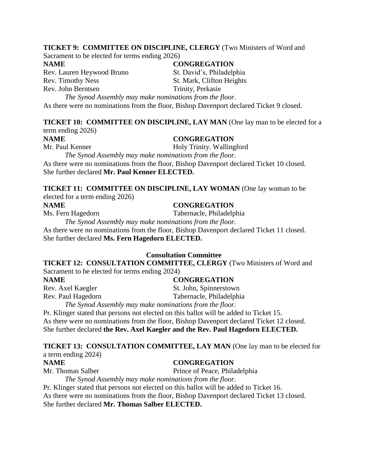#### **TICKET 9: COMMITTEE ON DISCIPLINE, CLERGY** (Two Ministers of Word and

Sacrament to be elected for terms ending 2026)

Rev. Lauren Heywood Bruno St. David's, Philadelphia Rev. Timothy Ness St. Mark, Clifton Heights Rev. John Berntsen Trinity, Perkasie

# **NAME CONGREGATION**

*The Synod Assembly may make nominations from the floor.* As there were no nominations from the floor, Bishop Davenport declared Ticket 9 closed.

#### **TICKET 10: COMMITTEE ON DISCIPLINE, LAY MAN** (One lay man to be elected for a term ending 2026)

# **NAME CONGREGATION**

Mr. Paul Kenner Holy Trinity. Wallingford

*The Synod Assembly may make nominations from the floor.* As there were no nominations from the floor, Bishop Davenport declared Ticket 10 closed. She further declared **Mr. Paul Kenner ELECTED.**

#### **TICKET 11: COMMITTEE ON DISCIPLINE, LAY WOMAN** (One lay woman to be elected for a term ending 2026)

### **NAME CONGREGATION**

Ms. Fern Hagedorn Tabernacle, Philadelphia

*The Synod Assembly may make nominations from the floor.* As there were no nominations from the floor, Bishop Davenport declared Ticket 11 closed. She further declared **Ms. Fern Hagedorn ELECTED.**

#### **Consultation Committee**

**TICKET 12: CONSULTATION COMMITTEE, CLERGY** (Two Ministers of Word and Sacrament to be elected for terms ending 2024)

**NAME CONGREGATION**

Rev. Axel Kaegler St. John, Spinnerstown Rev. Paul Hagedorn Tabernacle, Philadelphia *The Synod Assembly may make nominations from the floor.*

Pr. Klinger stated that persons not elected on this ballot will be added to Ticket 15.

As there were no nominations from the floor, Bishop Davenport declared Ticket 12 closed. She further declared **the Rev. Axel Kaegler and the Rev. Paul Hagedorn ELECTED.**

# **TICKET 13: CONSULTATION COMMITTEE, LAY MAN** (One lay man to be elected for a term ending 2024)

#### **NAME CONGREGATION**

Mr. Thomas Salber Prince of Peace, Philadelphia

*The Synod Assembly may make nominations from the floor.*

Pr. Klinger stated that persons not elected on this ballot will be added to Ticket 16. As there were no nominations from the floor, Bishop Davenport declared Ticket 13 closed. She further declared **Mr. Thomas Salber ELECTED.**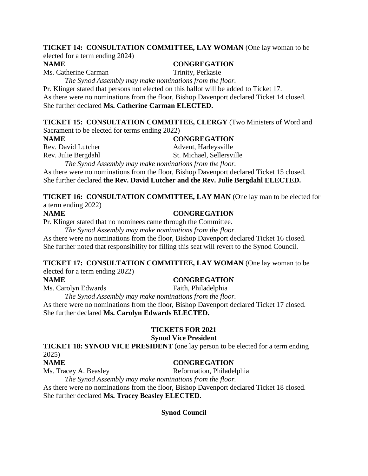# **TICKET 14: CONSULTATION COMMITTEE, LAY WOMAN** (One lay woman to be

elected for a term ending 2024)

**NAME CONGREGATION**

Ms. Catherine Carman Trinity, Perkasie

*The Synod Assembly may make nominations from the floor.*

Pr. Klinger stated that persons not elected on this ballot will be added to Ticket 17. As there were no nominations from the floor, Bishop Davenport declared Ticket 14 closed. She further declared **Ms. Catherine Carman ELECTED.**

# **TICKET 15: CONSULTATION COMMITTEE, CLERGY** (Two Ministers of Word and

Sacrament to be elected for terms ending 2022)

**NAME CONGREGATION** Rev. David Lutcher Advent, Harleysville Rev. Julie Bergdahl St. Michael, Sellersville *The Synod Assembly may make nominations from the floor.*

As there were no nominations from the floor, Bishop Davenport declared Ticket 15 closed. She further declared **the Rev. David Lutcher and the Rev. Julie Bergdahl ELECTED.**

**TICKET 16: CONSULTATION COMMITTEE, LAY MAN** (One lay man to be elected for a term ending 2022)

#### **NAME CONGREGATION**

Pr. Klinger stated that no nominees came through the Committee.

*The Synod Assembly may make nominations from the floor.*

As there were no nominations from the floor, Bishop Davenport declared Ticket 16 closed. She further noted that responsibility for filling this seat will revert to the Synod Council.

**TICKET 17: CONSULTATION COMMITTEE, LAY WOMAN** (One lay woman to be elected for a term ending 2022)

# **NAME CONGREGATION**

Ms. Carolyn Edwards Faith, Philadelphia

*The Synod Assembly may make nominations from the floor.* As there were no nominations from the floor, Bishop Davenport declared Ticket 17 closed. She further declared **Ms. Carolyn Edwards ELECTED.**

# **TICKETS FOR 2021**

# **Synod Vice President**

**TICKET 18: SYNOD VICE PRESIDENT** (one lay person to be elected for a term ending 2025)

# **NAME CONGREGATION**

Ms. Tracey A. Beasley Reformation, Philadelphia

*The Synod Assembly may make nominations from the floor.* As there were no nominations from the floor, Bishop Davenport declared Ticket 18 closed.

She further declared **Ms. Tracey Beasley ELECTED.**

**Synod Council**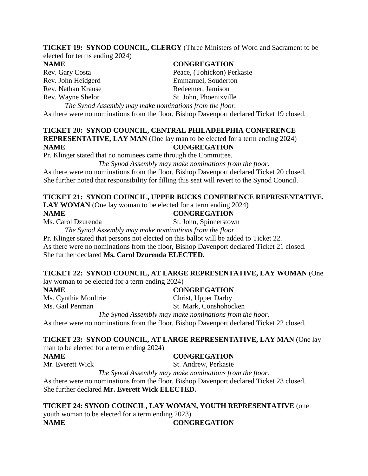#### **TICKET 19: SYNOD COUNCIL, CLERGY** (Three Ministers of Word and Sacrament to be elected for terms ending 2024)

Rev. Gary Costa Peace, (Tohickon) Perkasie Rev. John Heidgerd Emmanuel, Souderton Rev. Nathan Krause Redeemer, Jamison Rev. Wayne Shelor St. John, Phoenixville

*The Synod Assembly may make nominations from the floor.* As there were no nominations from the floor, Bishop Davenport declared Ticket 19 closed.

#### **TICKET 20: SYNOD COUNCIL, CENTRAL PHILADELPHIA CONFERENCE REPRESENTATIVE, LAY MAN** (One lay man to be elected for a term ending 2024) **NAME CONGREGATION**

Pr. Klinger stated that no nominees came through the Committee.

*The Synod Assembly may make nominations from the floor.*

As there were no nominations from the floor, Bishop Davenport declared Ticket 20 closed. She further noted that responsibility for filling this seat will revert to the Synod Council.

# **TICKET 21: SYNOD COUNCIL, UPPER BUCKS CONFERENCE REPRESENTATIVE,**

**LAY WOMAN** (One lay woman to be elected for a term ending 2024)

#### **NAME CONGREGATION**

Ms. Carol Dzurenda St. John, Spinnerstown

*The Synod Assembly may make nominations from the floor.*

Pr. Klinger stated that persons not elected on this ballot will be added to Ticket 22. As there were no nominations from the floor, Bishop Davenport declared Ticket 21 closed. She further declared **Ms. Carol Dzurenda ELECTED.**

# **TICKET 22: SYNOD COUNCIL, AT LARGE REPRESENTATIVE, LAY WOMAN** (One

lay woman to be elected for a term ending 2024) **NAME CONGREGATION**

Ms. Cynthia Moultrie Christ, Upper Darby

Ms. Gail Penman St. Mark, Conshohocken

*The Synod Assembly may make nominations from the floor.* As there were no nominations from the floor, Bishop Davenport declared Ticket 22 closed.

# **TICKET 23: SYNOD COUNCIL, AT LARGE REPRESENTATIVE, LAY MAN** (One lay

man to be elected for a term ending 2024)

# **NAME CONGREGATION**

Mr. Everett Wick St. Andrew, Perkasie *The Synod Assembly may make nominations from the floor.*

As there were no nominations from the floor, Bishop Davenport declared Ticket 23 closed. She further declared **Mr. Everett Wick ELECTED.**

**TICKET 24: SYNOD COUNCIL, LAY WOMAN, YOUTH REPRESENTATIVE** (one youth woman to be elected for a term ending 2023) **NAME CONGREGATION**

# **NAME CONGREGATION**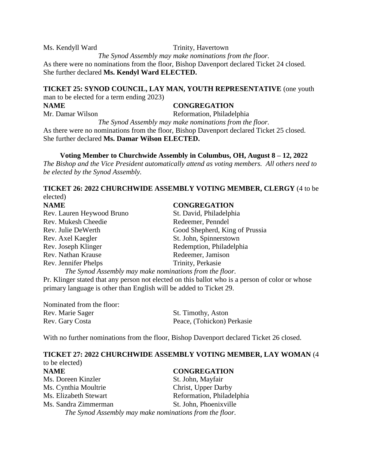Ms. Kendyll Ward Trinity, Havertown *The Synod Assembly may make nominations from the floor.* As there were no nominations from the floor, Bishop Davenport declared Ticket 24 closed. She further declared **Ms. Kendyl Ward ELECTED.**

# **TICKET 25: SYNOD COUNCIL, LAY MAN, YOUTH REPRESENTATIVE** (one youth man to be elected for a term ending 2023)

# **NAME CONGREGATION** Mr. Damar Wilson Reformation, Philadelphia *The Synod Assembly may make nominations from the floor.* As there were no nominations from the floor, Bishop Davenport declared Ticket 25 closed. She further declared **Ms. Damar Wilson ELECTED.**

**Voting Member to Churchwide Assembly in Columbus, OH, August 8 – 12, 2022** *The Bishop and the Vice President automatically attend as voting members. All others need to be elected by the Synod Assembly.*

# **TICKET 26: 2022 CHURCHWIDE ASSEMBLY VOTING MEMBER, CLERGY** (4 to be elected)

| <b>NAME</b>                                             | <b>CONGREGATION</b>            |
|---------------------------------------------------------|--------------------------------|
| Rev. Lauren Heywood Bruno                               | St. David, Philadelphia        |
| Rev. Mukesh Cheedie                                     | Redeemer, Penndel              |
| Rev. Julie DeWerth                                      | Good Shepherd, King of Prussia |
| Rev. Axel Kaegler                                       | St. John, Spinnerstown         |
| Rev. Joseph Klinger                                     | Redemption, Philadelphia       |
| Rev. Nathan Krause                                      | Redeemer, Jamison              |
| Rev. Jennifer Phelps                                    | Trinity, Perkasie              |
| The Synod Assembly may make nominations from the floor. |                                |

Pr. Klinger stated that any person not elected on this ballot who is a person of color or whose primary language is other than English will be added to Ticket 29.

| Nominated from the floor: |                            |
|---------------------------|----------------------------|
| Rev. Marie Sager          | St. Timothy, Aston         |
| Rev. Gary Costa           | Peace, (Tohickon) Perkasie |

With no further nominations from the floor, Bishop Davenport declared Ticket 26 closed.

#### **TICKET 27: 2022 CHURCHWIDE ASSEMBLY VOTING MEMBER, LAY WOMAN** (4 to be elected)

| <b>NAME</b>           | <b>CONGREGATION</b>                                     |
|-----------------------|---------------------------------------------------------|
| Ms. Doreen Kinzler    | St. John, Mayfair                                       |
| Ms. Cynthia Moultrie  | Christ, Upper Darby                                     |
| Ms. Elizabeth Stewart | Reformation, Philadelphia                               |
| Ms. Sandra Zimmerman  | St. John, Phoenixville                                  |
|                       | The Synod Assembly may make nominations from the floor. |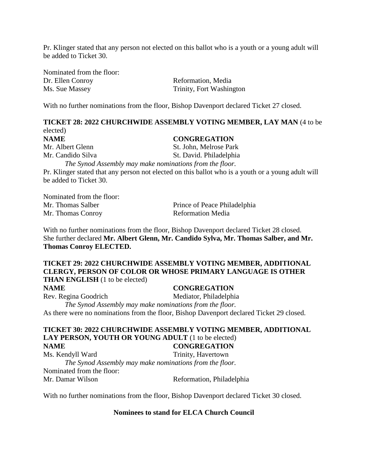Pr. Klinger stated that any person not elected on this ballot who is a youth or a young adult will be added to Ticket 30.

Nominated from the floor: Dr. Ellen Conroy Reformation, Media Ms. Sue Massey Trinity, Fort Washington

With no further nominations from the floor, Bishop Davenport declared Ticket 27 closed.

**TICKET 28: 2022 CHURCHWIDE ASSEMBLY VOTING MEMBER, LAY MAN** (4 to be elected)

**NAME CONGREGATION** Mr. Albert Glenn St. John, Melrose Park

Mr. Candido Silva St. David. Philadelphia *The Synod Assembly may make nominations from the floor.* 

Pr. Klinger stated that any person not elected on this ballot who is a youth or a young adult will be added to Ticket 30.

Nominated from the floor: Mr. Thomas Salber Prince of Peace Philadelphia Mr. Thomas Conroy Reformation Media

With no further nominations from the floor, Bishop Davenport declared Ticket 28 closed. She further declared **Mr. Albert Glenn, Mr. Candido Sylva, Mr. Thomas Salber, and Mr. Thomas Conroy ELECTED.**

### **TICKET 29: 2022 CHURCHWIDE ASSEMBLY VOTING MEMBER, ADDITIONAL CLERGY, PERSON OF COLOR OR WHOSE PRIMARY LANGUAGE IS OTHER THAN ENGLISH** (1 to be elected)

#### **NAME CONGREGATION**

Rev. Regina Goodrich Mediator, Philadelphia *The Synod Assembly may make nominations from the floor.* As there were no nominations from the floor, Bishop Davenport declared Ticket 29 closed.

#### **TICKET 30: 2022 CHURCHWIDE ASSEMBLY VOTING MEMBER, ADDITIONAL**  LAY PERSON, YOUTH OR YOUNG ADULT (1 to be elected) **NAME CONGREGATION**

Ms. Kendyll Ward Trinity, Havertown *The Synod Assembly may make nominations from the floor.* Nominated from the floor: Mr. Damar Wilson Reformation, Philadelphia

With no further nominations from the floor, Bishop Davenport declared Ticket 30 closed.

#### **Nominees to stand for ELCA Church Council**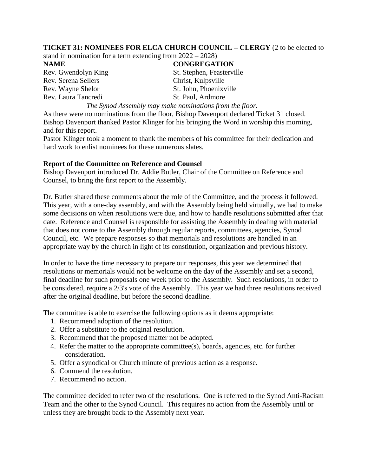# **TICKET 31: NOMINEES FOR ELCA CHURCH COUNCIL – CLERGY** (2 to be elected to

stand in nomination for a term extending from 2022 – 2028)

Rev. Serena Sellers Christ, Kulpsville Rev. Wayne Shelor St. John, Phoenixville Rev. Laura Tancredi St. Paul, Ardmore

# **NAME CONGREGATION**

Rev. Gwendolyn King St. Stephen, Feasterville

*The Synod Assembly may make nominations from the floor.*

As there were no nominations from the floor, Bishop Davenport declared Ticket 31 closed. Bishop Davenport thanked Pastor Klinger for his bringing the Word in worship this morning, and for this report.

Pastor Klinger took a moment to thank the members of his committee for their dedication and hard work to enlist nominees for these numerous slates.

# **Report of the Committee on Reference and Counsel**

Bishop Davenport introduced Dr. Addie Butler, Chair of the Committee on Reference and Counsel, to bring the first report to the Assembly.

Dr. Butler shared these comments about the role of the Committee, and the process it followed. This year, with a one-day assembly, and with the Assembly being held virtually, we had to make some decisions on when resolutions were due, and how to handle resolutions submitted after that date. Reference and Counsel is responsible for assisting the Assembly in dealing with material that does not come to the Assembly through regular reports, committees, agencies, Synod Council, etc. We prepare responses so that memorials and resolutions are handled in an appropriate way by the church in light of its constitution, organization and previous history.

In order to have the time necessary to prepare our responses, this year we determined that resolutions or memorials would not be welcome on the day of the Assembly and set a second, final deadline for such proposals one week prior to the Assembly. Such resolutions, in order to be considered, require a 2/3's vote of the Assembly. This year we had three resolutions received after the original deadline, but before the second deadline.

The committee is able to exercise the following options as it deems appropriate:

- 1. Recommend adoption of the resolution.
- 2. Offer a substitute to the original resolution.
- 3. Recommend that the proposed matter not be adopted.
- 4. Refer the matter to the appropriate committee(s), boards, agencies, etc. for further consideration.
- 5. Offer a synodical or Church minute of previous action as a response.
- 6. Commend the resolution.
- 7. Recommend no action.

The committee decided to refer two of the resolutions. One is referred to the Synod Anti-Racism Team and the other to the Synod Council. This requires no action from the Assembly until or unless they are brought back to the Assembly next year.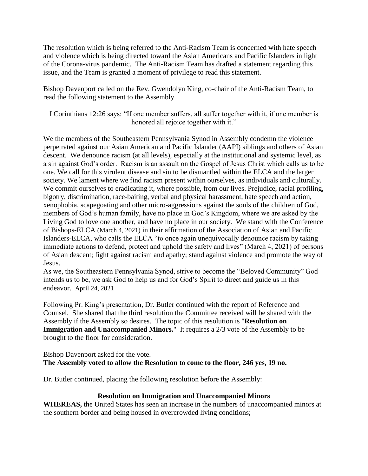The resolution which is being referred to the Anti-Racism Team is concerned with hate speech and violence which is being directed toward the Asian Americans and Pacific Islanders in light of the Corona-virus pandemic. The Anti-Racism Team has drafted a statement regarding this issue, and the Team is granted a moment of privilege to read this statement.

Bishop Davenport called on the Rev. Gwendolyn King, co-chair of the Anti-Racism Team, to read the following statement to the Assembly.

I Corinthians 12:26 says: "If one member suffers, all suffer together with it, if one member is honored all rejoice together with it."

We the members of the Southeastern Pennsylvania Synod in Assembly condemn the violence perpetrated against our Asian American and Pacific Islander (AAPI) siblings and others of Asian descent. We denounce racism (at all levels), especially at the institutional and systemic level, as a sin against God's order. Racism is an assault on the Gospel of Jesus Christ which calls us to be one. We call for this virulent disease and sin to be dismantled within the ELCA and the larger society. We lament where we find racism present within ourselves, as individuals and culturally. We commit ourselves to eradicating it, where possible, from our lives. Prejudice, racial profiling, bigotry, discrimination, race-baiting, verbal and physical harassment, hate speech and action, xenophobia, scapegoating and other micro-aggressions against the souls of the children of God, members of God's human family, have no place in God's Kingdom, where we are asked by the Living God to love one another, and have no place in our society. We stand with the Conference of Bishops-ELCA (March 4, 2021) in their affirmation of the Association of Asian and Pacific Islanders-ELCA, who calls the ELCA "to once again unequivocally denounce racism by taking immediate actions to defend, protect and uphold the safety and lives" (March 4, 2021) of persons of Asian descent; fight against racism and apathy; stand against violence and promote the way of Jesus.

As we, the Southeastern Pennsylvania Synod, strive to become the "Beloved Community" God intends us to be, we ask God to help us and for God's Spirit to direct and guide us in this endeavor. April 24, 2021

Following Pr. King's presentation, Dr. Butler continued with the report of Reference and Counsel. She shared that the third resolution the Committee received will be shared with the Assembly if the Assembly so desires. The topic of this resolution is "**Resolution on Immigration and Unaccompanied Minors.**" It requires a 2/3 vote of the Assembly to be brought to the floor for consideration.

Bishop Davenport asked for the vote. **The Assembly voted to allow the Resolution to come to the floor, 246 yes, 19 no.**

Dr. Butler continued, placing the following resolution before the Assembly:

# **Resolution on Immigration and Unaccompanied Minors**

**WHEREAS,** the United States has seen an increase in the numbers of unaccompanied minors at the southern border and being housed in overcrowded living conditions;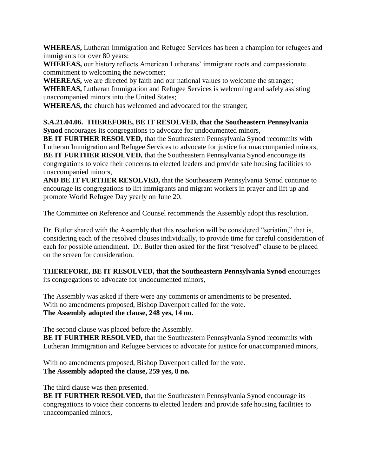**WHEREAS,** Lutheran Immigration and Refugee Services has been a champion for refugees and immigrants for over 80 years;

**WHEREAS,** our history reflects American Lutherans' immigrant roots and compassionate commitment to welcoming the newcomer;

**WHEREAS,** we are directed by faith and our national values to welcome the stranger; **WHEREAS,** Lutheran Immigration and Refugee Services is welcoming and safely assisting unaccompanied minors into the United States;

**WHEREAS,** the church has welcomed and advocated for the stranger;

**S.A.21.04.06. THEREFORE, BE IT RESOLVED, that the Southeastern Pennsylvania Synod** encourages its congregations to advocate for undocumented minors,

**BE IT FURTHER RESOLVED,** that the Southeastern Pennsylvania Synod recommits with Lutheran Immigration and Refugee Services to advocate for justice for unaccompanied minors, **BE IT FURTHER RESOLVED,** that the Southeastern Pennsylvania Synod encourage its congregations to voice their concerns to elected leaders and provide safe housing facilities to unaccompanied minors,

**AND BE IT FURTHER RESOLVED,** that the Southeastern Pennsylvania Synod continue to encourage its congregations to lift immigrants and migrant workers in prayer and lift up and promote World Refugee Day yearly on June 20.

The Committee on Reference and Counsel recommends the Assembly adopt this resolution.

Dr. Butler shared with the Assembly that this resolution will be considered "seriatim," that is, considering each of the resolved clauses individually, to provide time for careful consideration of each for possible amendment. Dr. Butler then asked for the first "resolved" clause to be placed on the screen for consideration.

**THEREFORE, BE IT RESOLVED, that the Southeastern Pennsylvania Synod** encourages its congregations to advocate for undocumented minors,

The Assembly was asked if there were any comments or amendments to be presented. With no amendments proposed, Bishop Davenport called for the vote. **The Assembly adopted the clause, 248 yes, 14 no.**

The second clause was placed before the Assembly.

**BE IT FURTHER RESOLVED,** that the Southeastern Pennsylvania Synod recommits with Lutheran Immigration and Refugee Services to advocate for justice for unaccompanied minors,

With no amendments proposed, Bishop Davenport called for the vote. **The Assembly adopted the clause, 259 yes, 8 no.**

The third clause was then presented.

**BE IT FURTHER RESOLVED,** that the Southeastern Pennsylvania Synod encourage its congregations to voice their concerns to elected leaders and provide safe housing facilities to unaccompanied minors,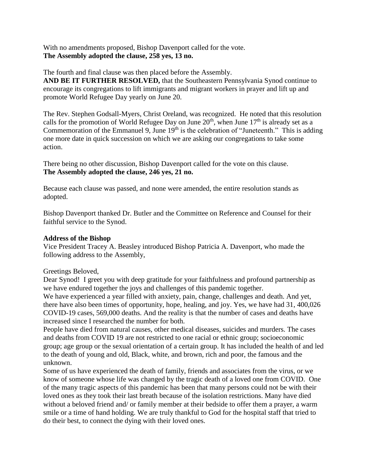With no amendments proposed, Bishop Davenport called for the vote. **The Assembly adopted the clause, 258 yes, 13 no.**

The fourth and final clause was then placed before the Assembly. **AND BE IT FURTHER RESOLVED,** that the Southeastern Pennsylvania Synod continue to encourage its congregations to lift immigrants and migrant workers in prayer and lift up and promote World Refugee Day yearly on June 20.

The Rev. Stephen Godsall-Myers, Christ Oreland, was recognized. He noted that this resolution calls for the promotion of World Refugee Day on June  $20^{th}$ , when June  $17^{th}$  is already set as a Commemoration of the Emmanuel 9, June  $19<sup>th</sup>$  is the celebration of "Juneteenth." This is adding one more date in quick succession on which we are asking our congregations to take some action.

There being no other discussion, Bishop Davenport called for the vote on this clause. **The Assembly adopted the clause, 246 yes, 21 no.**

Because each clause was passed, and none were amended, the entire resolution stands as adopted.

Bishop Davenport thanked Dr. Butler and the Committee on Reference and Counsel for their faithful service to the Synod.

# **Address of the Bishop**

Vice President Tracey A. Beasley introduced Bishop Patricia A. Davenport, who made the following address to the Assembly,

#### Greetings Beloved,

Dear Synod! I greet you with deep gratitude for your faithfulness and profound partnership as we have endured together the joys and challenges of this pandemic together.

We have experienced a year filled with anxiety, pain, change, challenges and death. And yet, there have also been times of opportunity, hope, healing, and joy. Yes, we have had 31, 400,026 COVID-19 cases, 569,000 deaths. And the reality is that the number of cases and deaths have increased since I researched the number for both.

People have died from natural causes, other medical diseases, suicides and murders. The cases and deaths from COVID 19 are not restricted to one racial or ethnic group; socioeconomic group; age group or the sexual orientation of a certain group. It has included the health of and led to the death of young and old, Black, white, and brown, rich and poor, the famous and the unknown.

Some of us have experienced the death of family, friends and associates from the virus, or we know of someone whose life was changed by the tragic death of a loved one from COVID. One of the many tragic aspects of this pandemic has been that many persons could not be with their loved ones as they took their last breath because of the isolation restrictions. Many have died without a beloved friend and/ or family member at their bedside to offer them a prayer, a warm smile or a time of hand holding. We are truly thankful to God for the hospital staff that tried to do their best, to connect the dying with their loved ones.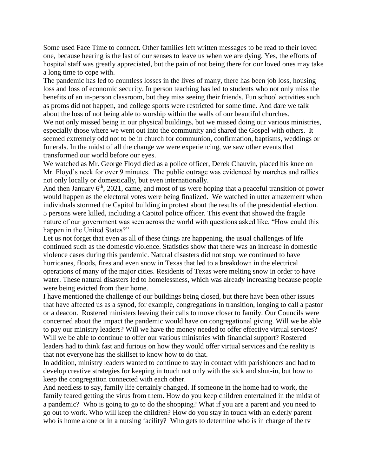Some used Face Time to connect. Other families left written messages to be read to their loved one, because hearing is the last of our senses to leave us when we are dying. Yes, the efforts of hospital staff was greatly appreciated, but the pain of not being there for our loved ones may take a long time to cope with.

The pandemic has led to countless losses in the lives of many, there has been job loss, housing loss and loss of economic security. In person teaching has led to students who not only miss the benefits of an in-person classroom, but they miss seeing their friends. Fun school activities such as proms did not happen, and college sports were restricted for some time. And dare we talk about the loss of not being able to worship within the walls of our beautiful churches.

We not only missed being in our physical buildings, but we missed doing our various ministries, especially those where we went out into the community and shared the Gospel with others. It seemed extremely odd not to be in church for communion, confirmation, baptisms, weddings or funerals. In the midst of all the change we were experiencing, we saw other events that transformed our world before our eyes.

We watched as Mr. George Floyd died as a police officer, Derek Chauvin, placed his knee on Mr. Floyd's neck for over 9 minutes. The public outrage was evidenced by marches and rallies not only locally or domestically, but even internationally.

And then January  $6<sup>th</sup>$ , 2021, came, and most of us were hoping that a peaceful transition of power would happen as the electoral votes were being finalized. We watched in utter amazement when individuals stormed the Capitol building in protest about the results of the presidential election. 5 persons were killed, including a Capitol police officer. This event that showed the fragile nature of our government was seen across the world with questions asked like, "How could this happen in the United States?"

Let us not forget that even as all of these things are happening, the usual challenges of life continued such as the domestic violence. Statistics show that there was an increase in domestic violence cases during this pandemic. Natural disasters did not stop, we continued to have hurricanes, floods, fires and even snow in Texas that led to a breakdown in the electrical operations of many of the major cities. Residents of Texas were melting snow in order to have water. These natural disasters led to homelessness, which was already increasing because people were being evicted from their home.

I have mentioned the challenge of our buildings being closed, but there have been other issues that have affected us as a synod, for example, congregations in transition, longing to call a pastor or a deacon. Rostered ministers leaving their calls to move closer to family. Our Councils were concerned about the impact the pandemic would have on congregational giving. Will we be able to pay our ministry leaders? Will we have the money needed to offer effective virtual services? Will we be able to continue to offer our various ministries with financial support? Rostered leaders had to think fast and furious on how they would offer virtual services and the reality is that not everyone has the skillset to know how to do that.

In addition, ministry leaders wanted to continue to stay in contact with parishioners and had to develop creative strategies for keeping in touch not only with the sick and shut-in, but how to keep the congregation connected with each other.

And needless to say, family life certainly changed. If someone in the home had to work, the family feared getting the virus from them. How do you keep children entertained in the midst of a pandemic? Who is going to go to do the shopping? What if you are a parent and you need to go out to work. Who will keep the children? How do you stay in touch with an elderly parent who is home alone or in a nursing facility? Who gets to determine who is in charge of the tv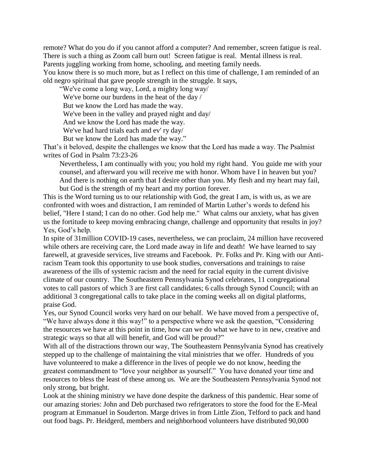remote? What do you do if you cannot afford a computer? And remember, screen fatigue is real. There is such a thing as Zoom call burn out! Screen fatigue is real. Mental illness is real.

Parents juggling working from home, schooling, and meeting family needs.

You know there is so much more, but as I reflect on this time of challenge, I am reminded of an old negro spiritual that gave people strength in the struggle. It says,

"We've come a long way, Lord, a mighty long way/

We've borne our burdens in the heat of the day /

But we know the Lord has made the way.

We've been in the valley and prayed night and day/

And we know the Lord has made the way.

We've had hard trials each and ev' ry day/

But we know the Lord has made the way."

That's it beloved, despite the challenges we know that the Lord has made a way. The Psalmist writes of God in Psalm 73:23-26

Nevertheless, I am continually with you; you hold my right hand. You guide me with your counsel, and afterward you will receive me with honor. Whom have I in heaven but you? And there is nothing on earth that I desire other than you. My flesh and my heart may fail, but God is the strength of my heart and my portion forever.

This is the Word turning us to our relationship with God, the great I am, is with us, as we are confronted with woes and distraction, I am reminded of Martin Luther's words to defend his belief, "Here I stand; I can do no other. God help me." What calms our anxiety, what has given us the fortitude to keep moving embracing change, challenge and opportunity that results in joy? Yes, God's help.

In spite of 31million COVID-19 cases, nevertheless, we can proclaim, 24 million have recovered while others are receiving care, the Lord made away in life and death! We have learned to say farewell, at graveside services, live streams and Facebook. Pr. Folks and Pr. King with our Antiracism Team took this opportunity to use book studies, conversations and trainings to raise awareness of the ills of systemic racism and the need for racial equity in the current divisive climate of our country. The Southeastern Pennsylvania Synod celebrates, 11 congregational votes to call pastors of which 3 are first call candidates; 6 calls through Synod Council; with an additional 3 congregational calls to take place in the coming weeks all on digital platforms, praise God.

Yes, our Synod Council works very hard on our behalf. We have moved from a perspective of, "We have always done it this way!" to a perspective where we ask the question, "Considering the resources we have at this point in time, how can we do what we have to in new, creative and strategic ways so that all will benefit, and God will be proud?"

With all of the distractions thrown our way, The Southeastern Pennsylvania Synod has creatively stepped up to the challenge of maintaining the vital ministries that we offer. Hundreds of you have volunteered to make a difference in the lives of people we do not know, heeding the greatest commandment to "love your neighbor as yourself." You have donated your time and resources to bless the least of these among us. We are the Southeastern Pennsylvania Synod not only strong, but bright.

Look at the shining ministry we have done despite the darkness of this pandemic. Hear some of our amazing stories: John and Deb purchased two refrigerators to store the food for the E-Meal program at Emmanuel in Souderton. Marge drives in from Little Zion, Telford to pack and hand out food bags. Pr. Heidgerd, members and neighborhood volunteers have distributed 90,000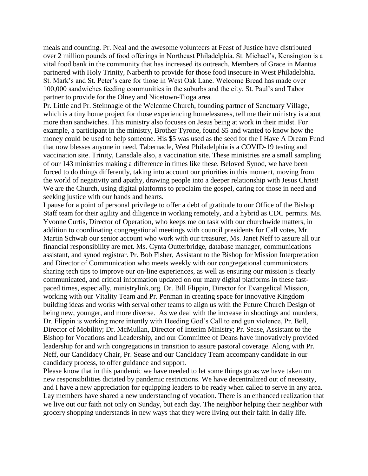meals and counting. Pr. Neal and the awesome volunteers at Feast of Justice have distributed over 2 million pounds of food offerings in Northeast Philadelphia. St. Michael's, Kensington is a vital food bank in the community that has increased its outreach. Members of Grace in Mantua partnered with Holy Trinity, Narberth to provide for those food insecure in West Philadelphia. St. Mark's and St. Peter's care for those in West Oak Lane. Welcome Bread has made over 100,000 sandwiches feeding communities in the suburbs and the city. St. Paul's and Tabor partner to provide for the Olney and Nicetown-Tioga area.

Pr. Little and Pr. Steinnagle of the Welcome Church, founding partner of Sanctuary Village, which is a tiny home project for those experiencing homelessness, tell me their ministry is about more than sandwiches. This ministry also focuses on Jesus being at work in their midst. For example, a participant in the ministry, Brother Tyrone, found \$5 and wanted to know how the money could be used to help someone. His \$5 was used as the seed for the I Have A Dream Fund that now blesses anyone in need. Tabernacle, West Philadelphia is a COVID-19 testing and vaccination site. Trinity, Lansdale also, a vaccination site. These ministries are a small sampling of our 143 ministries making a difference in times like these. Beloved Synod, we have been forced to do things differently, taking into account our priorities in this moment, moving from the world of negativity and apathy, drawing people into a deeper relationship with Jesus Christ! We are the Church, using digital platforms to proclaim the gospel, caring for those in need and seeking justice with our hands and hearts.

I pause for a point of personal privilege to offer a debt of gratitude to our Office of the Bishop Staff team for their agility and diligence in working remotely, and a hybrid as CDC permits. Ms. Yvonne Curtis, Director of Operation, who keeps me on task with our churchwide matters, in addition to coordinating congregational meetings with council presidents for Call votes, Mr. Martin Schwab our senior account who work with our treasurer, Ms. Janet Neff to assure all our financial responsibility are met. Ms. Cynta Outterbridge, database manager, communications assistant, and synod registrar. Pr. Bob Fisher, Assistant to the Bishop for Mission Interpretation and Director of Communication who meets weekly with our congregational communicators sharing tech tips to improve our on-line experiences, as well as ensuring our mission is clearly communicated, and critical information updated on our many digital platforms in these fastpaced times, especially, ministrylink.org. Dr. Bill Flippin, Director for Evangelical Mission, working with our Vitality Team and Pr. Penman in creating space for innovative Kingdom building ideas and works with serval other teams to align us with the Future Church Design of being new, younger, and more diverse. As we deal with the increase in shootings and murders, Dr. Flippin is working more intently with Heeding God's Call to end gun violence, Pr. Bell, Director of Mobility; Dr. McMullan, Director of Interim Ministry; Pr. Sease, Assistant to the Bishop for Vocations and Leadership, and our Committee of Deans have innovatively provided leadership for and with congregations in transition to assure pastoral coverage. Along with Pr. Neff, our Candidacy Chair, Pr. Sease and our Candidacy Team accompany candidate in our candidacy process, to offer guidance and support.

Please know that in this pandemic we have needed to let some things go as we have taken on new responsibilities dictated by pandemic restrictions. We have decentralized out of necessity, and I have a new appreciation for equipping leaders to be ready when called to serve in any area. Lay members have shared a new understanding of vocation. There is an enhanced realization that we live out our faith not only on Sunday, but each day. The neighbor helping their neighbor with grocery shopping understands in new ways that they were living out their faith in daily life.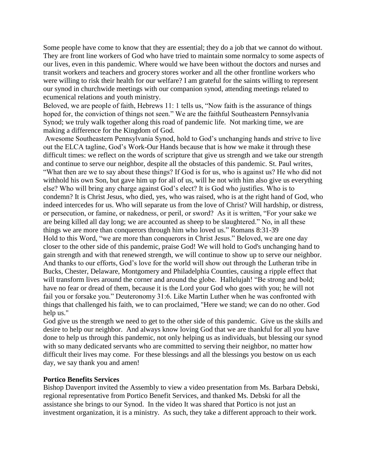Some people have come to know that they are essential; they do a job that we cannot do without. They are front line workers of God who have tried to maintain some normalcy to some aspects of our lives, even in this pandemic. Where would we have been without the doctors and nurses and transit workers and teachers and grocery stores worker and all the other frontline workers who were willing to risk their health for our welfare? I am grateful for the saints willing to represent our synod in churchwide meetings with our companion synod, attending meetings related to ecumenical relations and youth ministry.

Beloved, we are people of faith, Hebrews 11: 1 tells us, "Now faith is the assurance of things hoped for, the conviction of things not seen." We are the faithful Southeastern Pennsylvania Synod; we truly walk together along this road of pandemic life. Not marking time, we are making a difference for the Kingdom of God.

Awesome Southeastern Pennsylvania Synod, hold to God's unchanging hands and strive to live out the ELCA tagline, God's Work-Our Hands because that is how we make it through these difficult times: we reflect on the words of scripture that give us strength and we take our strength and continue to serve our neighbor, despite all the obstacles of this pandemic. St. Paul writes, "What then are we to say about these things? If God is for us, who is against us? He who did not withhold his own Son, but gave him up for all of us, will he not with him also give us everything else? Who will bring any charge against God's elect? It is God who justifies. Who is to condemn? It is Christ Jesus, who died, yes, who was raised, who is at the right hand of God, who indeed intercedes for us. Who will separate us from the love of Christ? Will hardship, or distress, or persecution, or famine, or nakedness, or peril, or sword? As it is written, "For your sake we are being killed all day long; we are accounted as sheep to be slaughtered." No, in all these things we are more than conquerors through him who loved us." Romans 8:31-39 Hold to this Word, "we are more than conquerors in Christ Jesus." Beloved, we are one day closer to the other side of this pandemic, praise God! We will hold to God's unchanging hand to gain strength and with that renewed strength, we will continue to show up to serve our neighbor. And thanks to our efforts, God's love for the world will show out through the Lutheran tribe in Bucks, Chester, Delaware, Montgomery and Philadelphia Counties, causing a ripple effect that will transform lives around the corner and around the globe. Hallelujah! "Be strong and bold; have no fear or dread of them, because it is the Lord your God who goes with you; he will not fail you or forsake you." Deuteronomy 31:6. Like Martin Luther when he was confronted with things that challenged his faith, we to can proclaimed, "Here we stand; we can do no other. God help us."

God give us the strength we need to get to the other side of this pandemic. Give us the skills and desire to help our neighbor. And always know loving God that we are thankful for all you have done to help us through this pandemic, not only helping us as individuals, but blessing our synod with so many dedicated servants who are committed to serving their neighbor, no matter how difficult their lives may come. For these blessings and all the blessings you bestow on us each day, we say thank you and amen!

#### **Portico Benefits Services**

Bishop Davenport invited the Assembly to view a video presentation from Ms. Barbara Debski, regional representative from Portico Benefit Services, and thanked Ms. Debski for all the assistance she brings to our Synod. In the video It was shared that Portico is not just an investment organization, it is a ministry. As such, they take a different approach to their work.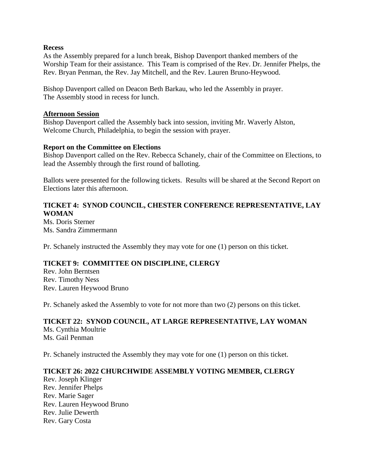#### **Recess**

As the Assembly prepared for a lunch break, Bishop Davenport thanked members of the Worship Team for their assistance. This Team is comprised of the Rev. Dr. Jennifer Phelps, the Rev. Bryan Penman, the Rev. Jay Mitchell, and the Rev. Lauren Bruno-Heywood.

Bishop Davenport called on Deacon Beth Barkau, who led the Assembly in prayer. The Assembly stood in recess for lunch.

#### **Afternoon Session**

Bishop Davenport called the Assembly back into session, inviting Mr. Waverly Alston, Welcome Church, Philadelphia, to begin the session with prayer.

#### **Report on the Committee on Elections**

Bishop Davenport called on the Rev. Rebecca Schanely, chair of the Committee on Elections, to lead the Assembly through the first round of balloting.

Ballots were presented for the following tickets. Results will be shared at the Second Report on Elections later this afternoon.

# **TICKET 4: SYNOD COUNCIL, CHESTER CONFERENCE REPRESENTATIVE, LAY WOMAN**

Ms. Doris Sterner Ms. Sandra Zimmermann

Pr. Schanely instructed the Assembly they may vote for one (1) person on this ticket.

# **TICKET 9: COMMITTEE ON DISCIPLINE, CLERGY**

Rev. John Berntsen Rev. Timothy Ness Rev. Lauren Heywood Bruno

Pr. Schanely asked the Assembly to vote for not more than two (2) persons on this ticket.

# **TICKET 22: SYNOD COUNCIL, AT LARGE REPRESENTATIVE, LAY WOMAN**  Ms. Cynthia Moultrie

Ms. Gail Penman

Pr. Schanely instructed the Assembly they may vote for one (1) person on this ticket.

#### **TICKET 26: 2022 CHURCHWIDE ASSEMBLY VOTING MEMBER, CLERGY**

Rev. Joseph Klinger Rev. Jennifer Phelps Rev. Marie Sager Rev. Lauren Heywood Bruno Rev. Julie Dewerth Rev. Gary Costa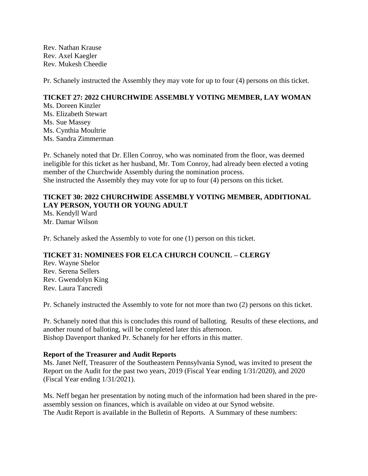Rev. Nathan Krause Rev. Axel Kaegler Rev. Mukesh Cheedie

Pr. Schanely instructed the Assembly they may vote for up to four (4) persons on this ticket.

# **TICKET 27: 2022 CHURCHWIDE ASSEMBLY VOTING MEMBER, LAY WOMAN**

Ms. Doreen Kinzler Ms. Elizabeth Stewart Ms. Sue Massey Ms. Cynthia Moultrie Ms. Sandra Zimmerman

Pr. Schanely noted that Dr. Ellen Conroy, who was nominated from the floor, was deemed ineligible for this ticket as her husband, Mr. Tom Conroy, had already been elected a voting member of the Churchwide Assembly during the nomination process. She instructed the Assembly they may vote for up to four (4) persons on this ticket.

# **TICKET 30: 2022 CHURCHWIDE ASSEMBLY VOTING MEMBER, ADDITIONAL LAY PERSON, YOUTH OR YOUNG ADULT**

Ms. Kendyll Ward Mr. Damar Wilson

Pr. Schanely asked the Assembly to vote for one (1) person on this ticket.

# **TICKET 31: NOMINEES FOR ELCA CHURCH COUNCIL – CLERGY**

Rev. Wayne Shelor Rev. Serena Sellers Rev. Gwendolyn King Rev. Laura Tancredi

Pr. Schanely instructed the Assembly to vote for not more than two (2) persons on this ticket.

Pr. Schanely noted that this is concludes this round of balloting. Results of these elections, and another round of balloting, will be completed later this afternoon. Bishop Davenport thanked Pr. Schanely for her efforts in this matter.

#### **Report of the Treasurer and Audit Reports**

Ms. Janet Neff, Treasurer of the Southeastern Pennsylvania Synod, was invited to present the Report on the Audit for the past two years, 2019 (Fiscal Year ending 1/31/2020), and 2020 (Fiscal Year ending 1/31/2021).

Ms. Neff began her presentation by noting much of the information had been shared in the preassembly session on finances, which is available on video at our Synod website. The Audit Report is available in the Bulletin of Reports. A Summary of these numbers: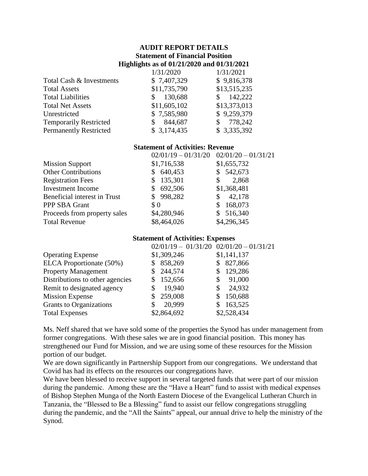# **AUDIT REPORT DETAILS Statement of Financial Position Highlights as of 01/21/2020 and 01/31/2021**

| 1/31/2020    | 1/31/2021     |
|--------------|---------------|
| \$7,407,329  | \$9,816,378   |
| \$11,735,790 | \$13,515,235  |
| 130,688      | 142,222<br>S. |
| \$11,605,102 | \$13,373,013  |
| \$7,585,980  | \$9,259,379   |
| 844,687      | 778,242       |
| \$3,174,435  | \$3,335,392   |
|              |               |

# **Statement of Activities: Revenue**

| \$1,716,538<br>\$1,655,732<br><b>Mission Support</b><br><b>Other Contributions</b><br>\$542,673<br>640,453<br>135,301<br><b>Registration Fees</b><br>2,868<br>\$<br>S<br>692,506<br><b>Investment Income</b><br>\$1,368,481<br>\$998,282<br>42,178<br>Beneficial interest in Trust<br>\$<br>168,073<br>PPP SBA Grant<br>\$0<br>S<br>\$4,280,946<br>\$516,340<br>Proceeds from property sales<br>\$8,464,026<br>\$4,296,345<br><b>Total Revenue</b> | $02/01/19 - 01/31/20$ | $02/01/20 - 01/31/21$ |
|----------------------------------------------------------------------------------------------------------------------------------------------------------------------------------------------------------------------------------------------------------------------------------------------------------------------------------------------------------------------------------------------------------------------------------------------------|-----------------------|-----------------------|
|                                                                                                                                                                                                                                                                                                                                                                                                                                                    |                       |                       |
|                                                                                                                                                                                                                                                                                                                                                                                                                                                    |                       |                       |
|                                                                                                                                                                                                                                                                                                                                                                                                                                                    |                       |                       |
|                                                                                                                                                                                                                                                                                                                                                                                                                                                    |                       |                       |
|                                                                                                                                                                                                                                                                                                                                                                                                                                                    |                       |                       |
|                                                                                                                                                                                                                                                                                                                                                                                                                                                    |                       |                       |
|                                                                                                                                                                                                                                                                                                                                                                                                                                                    |                       |                       |
|                                                                                                                                                                                                                                                                                                                                                                                                                                                    |                       |                       |

#### **Statement of Activities: Expenses**

| $02/01/19 - 01/31/20$ $02/01/20 - 01/31/21$ |               |
|---------------------------------------------|---------------|
| \$1,309,246                                 | \$1,141,137   |
| 858,269<br>S                                | 827,866<br>\$ |
| 244,574                                     | 129,286<br>S  |
| 152,656<br>S                                | 91,000<br>\$  |
| 19,940<br>\$                                | 24,932<br>\$  |
| 259,008<br>\$                               | 150,688<br>S  |
| 20,999                                      | 163,525<br>\$ |
| \$2,864,692                                 | \$2,528,434   |
|                                             |               |

Ms. Neff shared that we have sold some of the properties the Synod has under management from former congregations. With these sales we are in good financial position. This money has strengthened our Fund for Mission, and we are using some of these resources for the Mission portion of our budget.

We are down significantly in Partnership Support from our congregations. We understand that Covid has had its effects on the resources our congregations have.

We have been blessed to receive support in several targeted funds that were part of our mission during the pandemic. Among these are the "Have a Heart" fund to assist with medical expenses of Bishop Stephen Munga of the North Eastern Diocese of the Evangelical Lutheran Church in Tanzania, the "Blessed to Be a Blessing" fund to assist our fellow congregations struggling during the pandemic, and the "All the Saints" appeal, our annual drive to help the ministry of the Synod.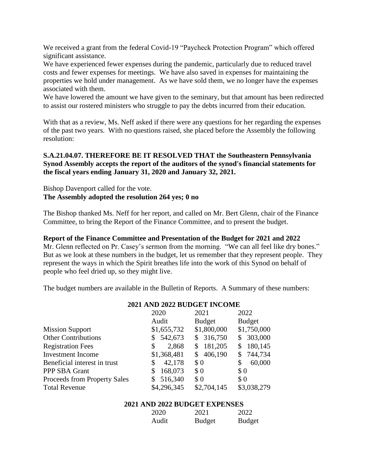We received a grant from the federal Covid-19 "Paycheck Protection Program" which offered significant assistance.

We have experienced fewer expenses during the pandemic, particularly due to reduced travel costs and fewer expenses for meetings. We have also saved in expenses for maintaining the properties we hold under management. As we have sold them, we no longer have the expenses associated with them.

We have lowered the amount we have given to the seminary, but that amount has been redirected to assist our rostered ministers who struggle to pay the debts incurred from their education.

With that as a review, Ms. Neff asked if there were any questions for her regarding the expenses of the past two years. With no questions raised, she placed before the Assembly the following resolution:

# **S.A.21.04.07. THEREFORE BE IT RESOLVED THAT the Southeastern Pennsylvania Synod Assembly accepts the report of the auditors of the synod's financial statements for the fiscal years ending January 31, 2020 and January 32, 2021.**

Bishop Davenport called for the vote. **The Assembly adopted the resolution 264 yes; 0 no**

The Bishop thanked Ms. Neff for her report, and called on Mr. Bert Glenn, chair of the Finance Committee, to bring the Report of the Finance Committee, and to present the budget.

#### **Report of the Finance Committee and Presentation of the Budget for 2021 and 2022**

Mr. Glenn reflected on Pr. Casey's sermon from the morning. "We can all feel like dry bones." But as we look at these numbers in the budget, let us remember that they represent people. They represent the ways in which the Spirit breathes life into the work of this Synod on behalf of people who feel dried up, so they might live.

The budget numbers are available in the Bulletin of Reports. A Summary of these numbers:

| 2020                                    | 2021          | 2022                        |
|-----------------------------------------|---------------|-----------------------------|
| Audit                                   | <b>Budget</b> | <b>Budget</b>               |
| \$1,655,732                             | \$1,800,000   | \$1,750,000                 |
| 542,673<br>\$                           | \$316,750     | 303,000<br>\$               |
| 2,868<br>\$                             | 181,205       | 180,145<br>S                |
| \$1,368,481                             | 406,190<br>S  | 744,734<br>\$               |
| 42,178<br>\$                            | \$0           | 60,000<br>\$                |
| 168,073<br>\$                           | \$0           | \$0                         |
| 516,340<br>Proceeds from Property Sales | \$0           | \$0                         |
| \$4,296,345                             | \$2,704,145   | \$3,038,279                 |
|                                         |               | 2021 AND 2022 BUDGET INCOME |

# **2021 AND 2022 BUDGET INCOME**

#### **2021 AND 2022 BUDGET EXPENSES**

| 2020  | 2021   | 2022          |
|-------|--------|---------------|
| Audit | Budget | <b>Budget</b> |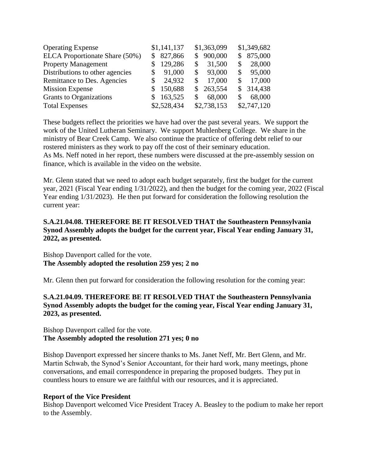| <b>Operating Expense</b>        | \$1,141,137  | \$1,363,099  | \$1,349,682   |
|---------------------------------|--------------|--------------|---------------|
| ELCA Proportionate Share (50%)  | 827,866<br>S | 900,000<br>S | 875,000<br>S  |
| <b>Property Management</b>      | 129,286      | 31,500       | 28,000        |
| Distributions to other agencies | 91,000<br>S  | 93,000<br>\$ | 95,000<br>\$. |
| Remittance to Des. Agencies     | 24,932<br>S  | 17,000       | 17,000        |
| <b>Mission Expense</b>          | 150,688      | \$263,554    | \$314,438     |
| Grants to Organizations         | 163,525      | 68,000<br>S  | 68,000        |
| <b>Total Expenses</b>           | \$2,528,434  | \$2,738,153  | \$2,747,120   |

These budgets reflect the priorities we have had over the past several years. We support the work of the United Lutheran Seminary. We support Muhlenberg College. We share in the ministry of Bear Creek Camp. We also continue the practice of offering debt relief to our rostered ministers as they work to pay off the cost of their seminary education. As Ms. Neff noted in her report, these numbers were discussed at the pre-assembly session on finance, which is available in the video on the website.

Mr. Glenn stated that we need to adopt each budget separately, first the budget for the current year, 2021 (Fiscal Year ending 1/31/2022), and then the budget for the coming year, 2022 (Fiscal Year ending 1/31/2023). He then put forward for consideration the following resolution the current year:

# **S.A.21.04.08. THEREFORE BE IT RESOLVED THAT the Southeastern Pennsylvania Synod Assembly adopts the budget for the current year, Fiscal Year ending January 31, 2022, as presented.**

Bishop Davenport called for the vote. **The Assembly adopted the resolution 259 yes; 2 no**

Mr. Glenn then put forward for consideration the following resolution for the coming year:

# **S.A.21.04.09. THEREFORE BE IT RESOLVED THAT the Southeastern Pennsylvania Synod Assembly adopts the budget for the coming year, Fiscal Year ending January 31, 2023, as presented.**

# Bishop Davenport called for the vote. **The Assembly adopted the resolution 271 yes; 0 no**

Bishop Davenport expressed her sincere thanks to Ms. Janet Neff, Mr. Bert Glenn, and Mr. Martin Schwab, the Synod's Senior Accountant, for their hard work, many meetings, phone conversations, and email correspondence in preparing the proposed budgets. They put in countless hours to ensure we are faithful with our resources, and it is appreciated.

#### **Report of the Vice President**

Bishop Davenport welcomed Vice President Tracey A. Beasley to the podium to make her report to the Assembly.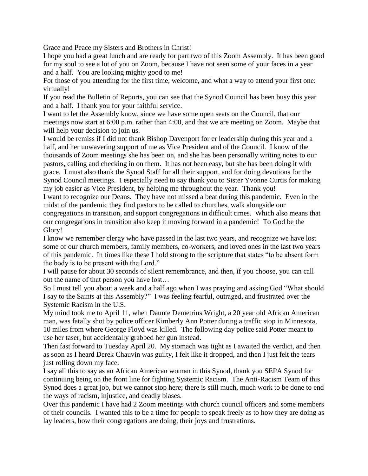Grace and Peace my Sisters and Brothers in Christ!

I hope you had a great lunch and are ready for part two of this Zoom Assembly. It has been good for my soul to see a lot of you on Zoom, because I have not seen some of your faces in a year and a half. You are looking mighty good to me!

For those of you attending for the first time, welcome, and what a way to attend your first one: virtually!

If you read the Bulletin of Reports, you can see that the Synod Council has been busy this year and a half. I thank you for your faithful service.

I want to let the Assembly know, since we have some open seats on the Council, that our meetings now start at 6:00 p.m. rather than 4:00, and that we are meeting on Zoom. Maybe that will help your decision to join us.

I would be remiss if I did not thank Bishop Davenport for er leadership during this year and a half, and her unwavering support of me as Vice President and of the Council. I know of the thousands of Zoom meetings she has been on, and she has been personally writing notes to our pastors, calling and checking in on them. It has not been easy, but she has been doing it with grace. I must also thank the Synod Staff for all their support, and for doing devotions for the Synod Council meetings. I especially need to say thank you to Sister Yvonne Curtis for making my job easier as Vice President, by helping me throughout the year. Thank you!

I want to recognize our Deans. They have not missed a beat during this pandemic. Even in the midst of the pandemic they find pastors to be called to churches, walk alongside our congregations in transition, and support congregations in difficult times. Which also means that our congregations in transition also keep it moving forward in a pandemic! To God be the Glory!

I know we remember clergy who have passed in the last two years, and recognize we have lost some of our church members, family members, co-workers, and loved ones in the last two years of this pandemic. In times like these I hold strong to the scripture that states "to be absent form the body is to be present with the Lord."

I will pause for about 30 seconds of silent remembrance, and then, if you choose, you can call out the name of that person you have lost…

So I must tell you about a week and a half ago when I was praying and asking God "What should I say to the Saints at this Assembly?" I was feeling fearful, outraged, and frustrated over the Systemic Racism in the U.S.

My mind took me to April 11, when Daunte Demetrius Wright, a 20 year old African American man, was fatally shot by police officer Kimberly Ann Potter during a traffic stop in Minnesota, 10 miles from where George Floyd was killed. The following day police said Potter meant to use her taser, but accidentally grabbed her gun instead.

Then fast forward to Tuesday April 20. My stomach was tight as I awaited the verdict, and then as soon as I heard Derek Chauvin was guilty, I felt like it dropped, and then I just felt the tears just rolling down my face.

I say all this to say as an African American woman in this Synod, thank you SEPA Synod for continuing being on the front line for fighting Systemic Racism. The Anti-Racism Team of this Synod does a great job, but we cannot stop here; there is still much, much work to be done to end the ways of racism, injustice, and deadly biases.

Over this pandemic I have had 2 Zoom meetings with church council officers and some members of their councils. I wanted this to be a time for people to speak freely as to how they are doing as lay leaders, how their congregations are doing, their joys and frustrations.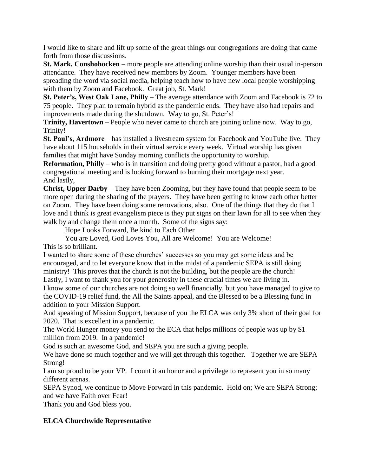I would like to share and lift up some of the great things our congregations are doing that came forth from those discussions.

**St. Mark, Conshohocken** – more people are attending online worship than their usual in-person attendance. They have received new members by Zoom. Younger members have been spreading the word via social media, helping teach how to have new local people worshipping with them by Zoom and Facebook. Great job, St. Mark!

**St. Peter's, West Oak Lane, Philly** – The average attendance with Zoom and Facebook is 72 to 75 people. They plan to remain hybrid as the pandemic ends. They have also had repairs and improvements made during the shutdown. Way to go, St. Peter's!

**Trinity, Havertown** – People who never came to church are joining online now. Way to go, Trinity!

**St. Paul's, Ardmore** – has installed a livestream system for Facebook and YouTube live. They have about 115 households in their virtual service every week. Virtual worship has given families that might have Sunday morning conflicts the opportunity to worship.

**Reformation, Philly** – who is in transition and doing pretty good without a pastor, had a good congregational meeting and is looking forward to burning their mortgage next year. And lastly,

**Christ, Upper Darby** – They have been Zooming, but they have found that people seem to be more open during the sharing of the prayers. They have been getting to know each other better on Zoom. They have been doing some renovations, also. One of the things that they do that I love and I think is great evangelism piece is they put signs on their lawn for all to see when they walk by and change them once a month. Some of the signs say:

Hope Looks Forward, Be kind to Each Other

You are Loved, God Loves You, All are Welcome! You are Welcome!

This is so brilliant.

I wanted to share some of these churches' successes so you may get some ideas and be encouraged, and to let everyone know that in the midst of a pandemic SEPA is still doing ministry! This proves that the church is not the building, but the people are the church! Lastly, I want to thank you for your generosity in these crucial times we are living in.

I know some of our churches are not doing so well financially, but you have managed to give to the COVID-19 relief fund, the All the Saints appeal, and the Blessed to be a Blessing fund in addition to your Mission Support.

And speaking of Mission Support, because of you the ELCA was only 3% short of their goal for 2020. That is excellent in a pandemic.

The World Hunger money you send to the ECA that helps millions of people was up by \$1 million from 2019. In a pandemic!

God is such an awesome God, and SEPA you are such a giving people.

We have done so much together and we will get through this together. Together we are SEPA Strong!

I am so proud to be your VP. I count it an honor and a privilege to represent you in so many different arenas.

SEPA Synod, we continue to Move Forward in this pandemic. Hold on; We are SEPA Strong; and we have Faith over Fear!

Thank you and God bless you.

# **ELCA Churchwide Representative**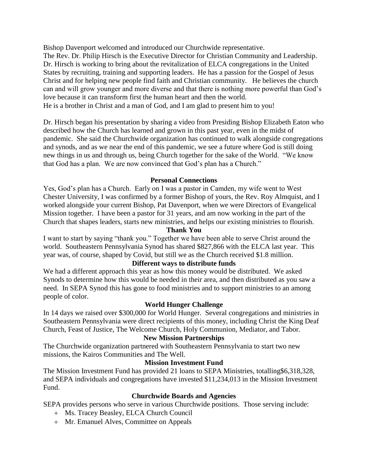Bishop Davenport welcomed and introduced our Churchwide representative. The Rev. Dr. Philip Hirsch is the Executive Director for Christian Community and Leadership. Dr. Hirsch is working to bring about the revitalization of ELCA congregations in the United States by recruiting, training and supporting leaders. He has a passion for the Gospel of Jesus Christ and for helping new people find faith and Christian community. He believes the church can and will grow younger and more diverse and that there is nothing more powerful than God's love because it can transform first the human heart and then the world. He is a brother in Christ and a man of God, and I am glad to present him to you!

Dr. Hirsch began his presentation by sharing a video from Presiding Bishop Elizabeth Eaton who described how the Church has learned and grown in this past year, even in the midst of pandemic. She said the Churchwide organization has continued to walk alongside congregations and synods, and as we near the end of this pandemic, we see a future where God is still doing new things in us and through us, being Church together for the sake of the World. "We know that God has a plan. We are now convinced that God's plan has a Church."

#### **Personal Connections**

Yes, God's plan has a Church. Early on I was a pastor in Camden, my wife went to West Chester University, I was confirmed by a former Bishop of yours, the Rev. Roy Almquist, and I worked alongside your current Bishop, Pat Davenport, when we were Directors of Evangelical Mission together. I have been a pastor for 31 years, and am now working in the part of the Church that shapes leaders, starts new ministries, and helps our existing ministries to flourish.

#### **Thank You**

I want to start by saying "thank you." Together we have been able to serve Christ around the world. Southeastern Pennsylvania Synod has shared \$827,866 with the ELCA last year. This year was, of course, shaped by Covid, but still we as the Church received \$1.8 million.

#### **Different ways to distribute funds**

We had a different approach this year as how this money would be distributed. We asked Synods to determine how this would be needed in their area, and then distributed as you saw a need. In SEPA Synod this has gone to food ministries and to support ministries to an among people of color.

#### **World Hunger Challenge**

In 14 days we raised over \$300,000 for World Hunger. Several congregations and ministries in Southeastern Pennsylvania were direct recipients of this money, including Christ the King Deaf Church, Feast of Justice, The Welcome Church, Holy Communion, Mediator, and Tabor.

# **New Mission Partnerships**

The Churchwide organization partnered with Southeastern Pennsylvania to start two new missions, the Kairos Communities and The Well.

#### **Mission Investment Fund**

The Mission Investment Fund has provided 21 loans to SEPA Ministries, totalling\$6,318,328, and SEPA individuals and congregations have invested \$11,234,013 in the Mission Investment Fund.

#### **Churchwide Boards and Agencies**

SEPA provides persons who serve in various Churchwide positions. Those serving include:

- Ms. Tracey Beasley, ELCA Church Council
- Mr. Emanuel Alves, Committee on Appeals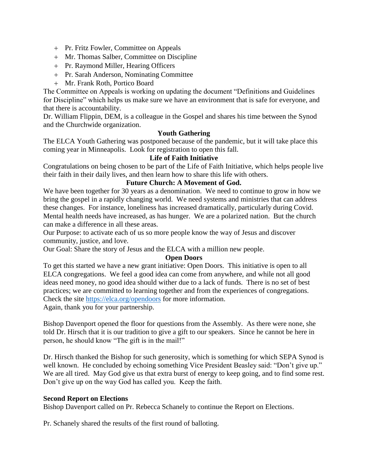- Pr. Fritz Fowler, Committee on Appeals
- Mr. Thomas Salber, Committee on Discipline
- Pr. Raymond Miller, Hearing Officers
- Pr. Sarah Anderson, Nominating Committee
- Mr. Frank Roth, Portico Board

The Committee on Appeals is working on updating the document "Definitions and Guidelines for Discipline" which helps us make sure we have an environment that is safe for everyone, and that there is accountability.

Dr. William Flippin, DEM, is a colleague in the Gospel and shares his time between the Synod and the Churchwide organization.

# **Youth Gathering**

The ELCA Youth Gathering was postponed because of the pandemic, but it will take place this coming year in Minneapolis. Look for registration to open this fall.

# **Life of Faith Initiative**

Congratulations on being chosen to be part of the Life of Faith Initiative, which helps people live their faith in their daily lives, and then learn how to share this life with others.

#### **Future Church: A Movement of God.**

We have been together for 30 years as a denomination. We need to continue to grow in how we bring the gospel in a rapidly changing world. We need systems and ministries that can address these changes. For instance, loneliness has increased dramatically, particularly during Covid. Mental health needs have increased, as has hunger. We are a polarized nation. But the church can make a difference in all these areas.

Our Purpose: to activate each of us so more people know the way of Jesus and discover community, justice, and love.

Our Goal: Share the story of Jesus and the ELCA with a million new people.

#### **Open Doors**

To get this started we have a new grant initiative: Open Doors. This initiative is open to all ELCA congregations. We feel a good idea can come from anywhere, and while not all good ideas need money, no good idea should wither due to a lack of funds. There is no set of best practices; we are committed to learning together and from the experiences of congregations. Check the site<https://elca.org/opendoors> for more information.

Again, thank you for your partnership.

Bishop Davenport opened the floor for questions from the Assembly. As there were none, she told Dr. Hirsch that it is our tradition to give a gift to our speakers. Since he cannot be here in person, he should know "The gift is in the mail!"

Dr. Hirsch thanked the Bishop for such generosity, which is something for which SEPA Synod is well known. He concluded by echoing something Vice President Beasley said: "Don't give up." We are all tired. May God give us that extra burst of energy to keep going, and to find some rest. Don't give up on the way God has called you. Keep the faith.

#### **Second Report on Elections**

Bishop Davenport called on Pr. Rebecca Schanely to continue the Report on Elections.

Pr. Schanely shared the results of the first round of balloting.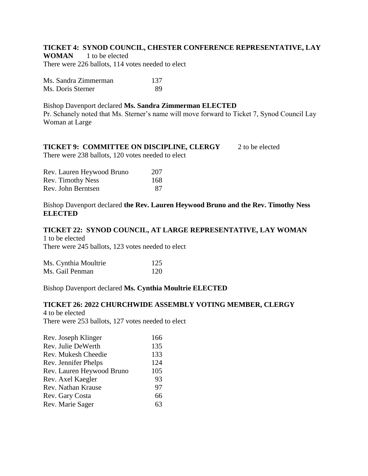# **TICKET 4: SYNOD COUNCIL, CHESTER CONFERENCE REPRESENTATIVE, LAY**

**WOMAN** 1 to be elected There were 226 ballots, 114 votes needed to elect

| Ms. Sandra Zimmerman | 137 |
|----------------------|-----|
| Ms. Doris Sterner    | 89  |

#### Bishop Davenport declared **Ms. Sandra Zimmerman ELECTED**

Pr. Schanely noted that Ms. Sterner's name will move forward to Ticket 7, Synod Council Lay Woman at Large

# **TICKET 9: COMMITTEE ON DISCIPLINE, CLERGY** 2 to be elected

There were 238 ballots, 120 votes needed to elect

| Rev. Lauren Heywood Bruno | 207 |
|---------------------------|-----|
| Rev. Timothy Ness         | 168 |
| Rev. John Berntsen        | 87  |

Bishop Davenport declared **the Rev. Lauren Heywood Bruno and the Rev. Timothy Ness ELECTED**

#### **TICKET 22: SYNOD COUNCIL, AT LARGE REPRESENTATIVE, LAY WOMAN**

1 to be elected There were 245 ballots, 123 votes needed to elect

| Ms. Cynthia Moultrie | 125 |
|----------------------|-----|
| Ms. Gail Penman      | 120 |

Bishop Davenport declared **Ms. Cynthia Moultrie ELECTED**

# **TICKET 26: 2022 CHURCHWIDE ASSEMBLY VOTING MEMBER, CLERGY**

4 to be elected There were 253 ballots, 127 votes needed to elect

| 166 |
|-----|
| 135 |
| 133 |
| 124 |
| 105 |
| 93  |
| 97  |
| 66  |
| 63  |
|     |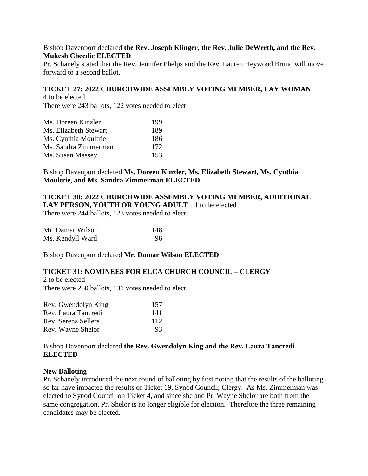#### Bishop Davenport declared **the Rev. Joseph Klinger, the Rev. Julie DeWerth, and the Rev. Mukesh Cheedie ELECTED**

Pr. Schanely stated that the Rev. Jennifer Phelps and the Rev. Lauren Heywood Bruno will move forward to a second ballot.

#### **TICKET 27: 2022 CHURCHWIDE ASSEMBLY VOTING MEMBER, LAY WOMAN** 4 to be elected

There were 243 ballots, 122 votes needed to elect

| Ms. Doreen Kinzler    | 199 |
|-----------------------|-----|
| Ms. Elizabeth Stewart | 189 |
| Ms. Cynthia Moultrie  | 186 |
| Ms. Sandra Zimmerman  | 172 |
| Ms. Susan Massey      | 153 |

### Bishop Davenport declared **Ms. Doreen Kinzler, Ms. Elizabeth Stewart, Ms. Cynthia Moultrie, and Ms. Sandra Zimmerman ELECTED**

### **TICKET 30: 2022 CHURCHWIDE ASSEMBLY VOTING MEMBER, ADDITIONAL**  LAY PERSON, YOUTH OR YOUNG ADULT 1 to be elected

There were 244 ballots, 123 votes needed to elect

| Mr. Damar Wilson | 148 |
|------------------|-----|
| Ms. Kendyll Ward | 96  |

Bishop Davenport declared **Mr. Damar Wilson ELECTED**

#### **TICKET 31: NOMINEES FOR ELCA CHURCH COUNCIL – CLERGY**

2 to be elected There were 260 ballots, 131 votes needed to elect

| Rev. Gwendolyn King | 157 |
|---------------------|-----|
| Rev. Laura Tancredi | 141 |
| Rev. Serena Sellers | 112 |
| Rev. Wayne Shelor   | 93  |

Bishop Davenport declared **the Rev. Gwendolyn King and the Rev. Laura Tancredi ELECTED**

#### **New Balloting**

Pr. Schanely introduced the next round of balloting by first noting that the results of the balloting so far have impacted the results of Ticket 19, Synod Council, Clergy. As Ms. Zimmerman was elected to Synod Council on Ticket 4, and since she and Pr. Wayne Shelor are both from the same congregation, Pr. Shelor is no longer eligible for election. Therefore the three remaining candidates may be elected.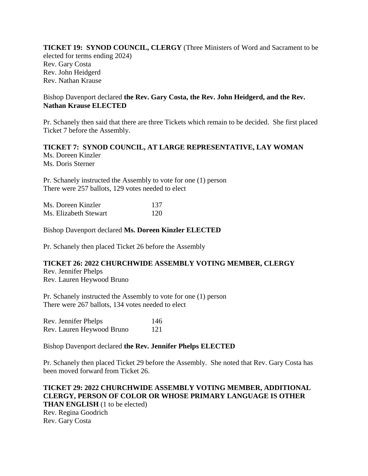**TICKET 19: SYNOD COUNCIL, CLERGY** (Three Ministers of Word and Sacrament to be elected for terms ending 2024) Rev. Gary Costa Rev. John Heidgerd Rev. Nathan Krause

# Bishop Davenport declared **the Rev. Gary Costa, the Rev. John Heidgerd, and the Rev. Nathan Krause ELECTED**

Pr. Schanely then said that there are three Tickets which remain to be decided. She first placed Ticket 7 before the Assembly.

#### **TICKET 7: SYNOD COUNCIL, AT LARGE REPRESENTATIVE, LAY WOMAN** Ms. Doreen Kinzler Ms. Doris Sterner

Pr. Schanely instructed the Assembly to vote for one (1) person There were 257 ballots, 129 votes needed to elect

| Ms. Doreen Kinzler    | 137 |
|-----------------------|-----|
| Ms. Elizabeth Stewart | 120 |

Bishop Davenport declared **Ms. Doreen Kinzler ELECTED**

Pr. Schanely then placed Ticket 26 before the Assembly

#### **TICKET 26: 2022 CHURCHWIDE ASSEMBLY VOTING MEMBER, CLERGY**

Rev. Jennifer Phelps Rev. Lauren Heywood Bruno

Pr. Schanely instructed the Assembly to vote for one (1) person There were 267 ballots, 134 votes needed to elect

| Rev. Jennifer Phelps      | 146 |
|---------------------------|-----|
| Rev. Lauren Heywood Bruno | 121 |

Bishop Davenport declared **the Rev. Jennifer Phelps ELECTED**

Pr. Schanely then placed Ticket 29 before the Assembly. She noted that Rev. Gary Costa has been moved forward from Ticket 26.

**TICKET 29: 2022 CHURCHWIDE ASSEMBLY VOTING MEMBER, ADDITIONAL CLERGY, PERSON OF COLOR OR WHOSE PRIMARY LANGUAGE IS OTHER THAN ENGLISH** (1 to be elected) Rev. Regina Goodrich Rev. Gary Costa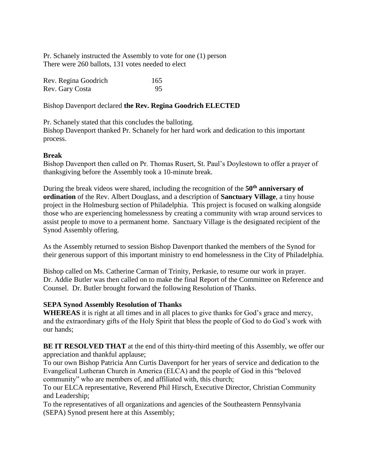Pr. Schanely instructed the Assembly to vote for one (1) person There were 260 ballots, 131 votes needed to elect

| Rev. Regina Goodrich | 165 |
|----------------------|-----|
| Rev. Gary Costa      | 95  |

Bishop Davenport declared **the Rev. Regina Goodrich ELECTED**

Pr. Schanely stated that this concludes the balloting. Bishop Davenport thanked Pr. Schanely for her hard work and dedication to this important process.

# **Break**

Bishop Davenport then called on Pr. Thomas Rusert, St. Paul's Doylestown to offer a prayer of thanksgiving before the Assembly took a 10-minute break.

During the break videos were shared, including the recognition of the **50th anniversary of ordination** of the Rev. Albert Douglass, and a description of **Sanctuary Village**, a tiny house project in the Holmesburg section of Philadelphia. This project is focused on walking alongside those who are experiencing homelessness by creating a community with wrap around services to assist people to move to a permanent home. Sanctuary Village is the designated recipient of the Synod Assembly offering.

As the Assembly returned to session Bishop Davenport thanked the members of the Synod for their generous support of this important ministry to end homelessness in the City of Philadelphia.

Bishop called on Ms. Catherine Carman of Trinity, Perkasie, to resume our work in prayer. Dr. Addie Butler was then called on to make the final Report of the Committee on Reference and Counsel. Dr. Butler brought forward the following Resolution of Thanks.

#### **SEPA Synod Assembly Resolution of Thanks**

**WHEREAS** it is right at all times and in all places to give thanks for God's grace and mercy, and the extraordinary gifts of the Holy Spirit that bless the people of God to do God's work with our hands;

**BE IT RESOLVED THAT** at the end of this thirty-third meeting of this Assembly, we offer our appreciation and thankful applause;

To our own Bishop Patricia Ann Curtis Davenport for her years of service and dedication to the Evangelical Lutheran Church in America (ELCA) and the people of God in this "beloved community" who are members of, and affiliated with, this church;

To our ELCA representative, Reverend Phil Hirsch, Executive Director, Christian Community and Leadership;

To the representatives of all organizations and agencies of the Southeastern Pennsylvania (SEPA) Synod present here at this Assembly;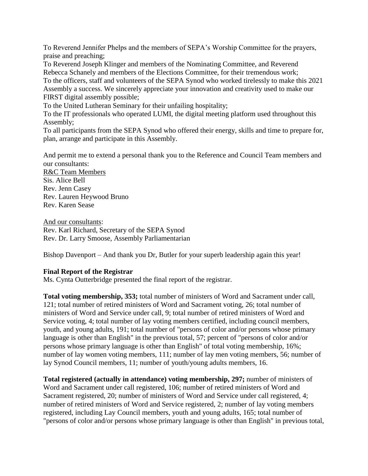To Reverend Jennifer Phelps and the members of SEPA's Worship Committee for the prayers, praise and preaching;

To Reverend Joseph Klinger and members of the Nominating Committee, and Reverend Rebecca Schanely and members of the Elections Committee, for their tremendous work; To the officers, staff and volunteers of the SEPA Synod who worked tirelessly to make this 2021 Assembly a success. We sincerely appreciate your innovation and creativity used to make our

FIRST digital assembly possible;

To the United Lutheran Seminary for their unfailing hospitality;

To the IT professionals who operated LUMI, the digital meeting platform used throughout this Assembly;

To all participants from the SEPA Synod who offered their energy, skills and time to prepare for, plan, arrange and participate in this Assembly.

And permit me to extend a personal thank you to the Reference and Council Team members and our consultants:

R&C Team Members Sis. Alice Bell Rev. Jenn Casey Rev. Lauren Heywood Bruno Rev. Karen Sease

And our consultants: Rev. Karl Richard, Secretary of the SEPA Synod Rev. Dr. Larry Smoose, Assembly Parliamentarian

Bishop Davenport – And thank you Dr, Butler for your superb leadership again this year!

# **Final Report of the Registrar**

Ms. Cynta Outterbridge presented the final report of the registrar.

**Total voting membership, 353;** total number of ministers of Word and Sacrament under call, 121; total number of retired ministers of Word and Sacrament voting, 26; total number of ministers of Word and Service under call, 9; total number of retired ministers of Word and Service voting, 4; total number of lay voting members certified, including council members, youth, and young adults, 191; total number of "persons of color and/or persons whose primary language is other than English" in the previous total, 57; percent of "persons of color and/or persons whose primary language is other than English" of total voting membership, 16%; number of lay women voting members, 111; number of lay men voting members, 56; number of lay Synod Council members, 11; number of youth/young adults members, 16.

**Total registered (actually in attendance) voting membership, 297;** number of ministers of Word and Sacrament under call registered, 106; number of retired ministers of Word and Sacrament registered, 20; number of ministers of Word and Service under call registered, 4; number of retired ministers of Word and Service registered, 2; number of lay voting members registered, including Lay Council members, youth and young adults, 165; total number of "persons of color and/or persons whose primary language is other than English" in previous total,